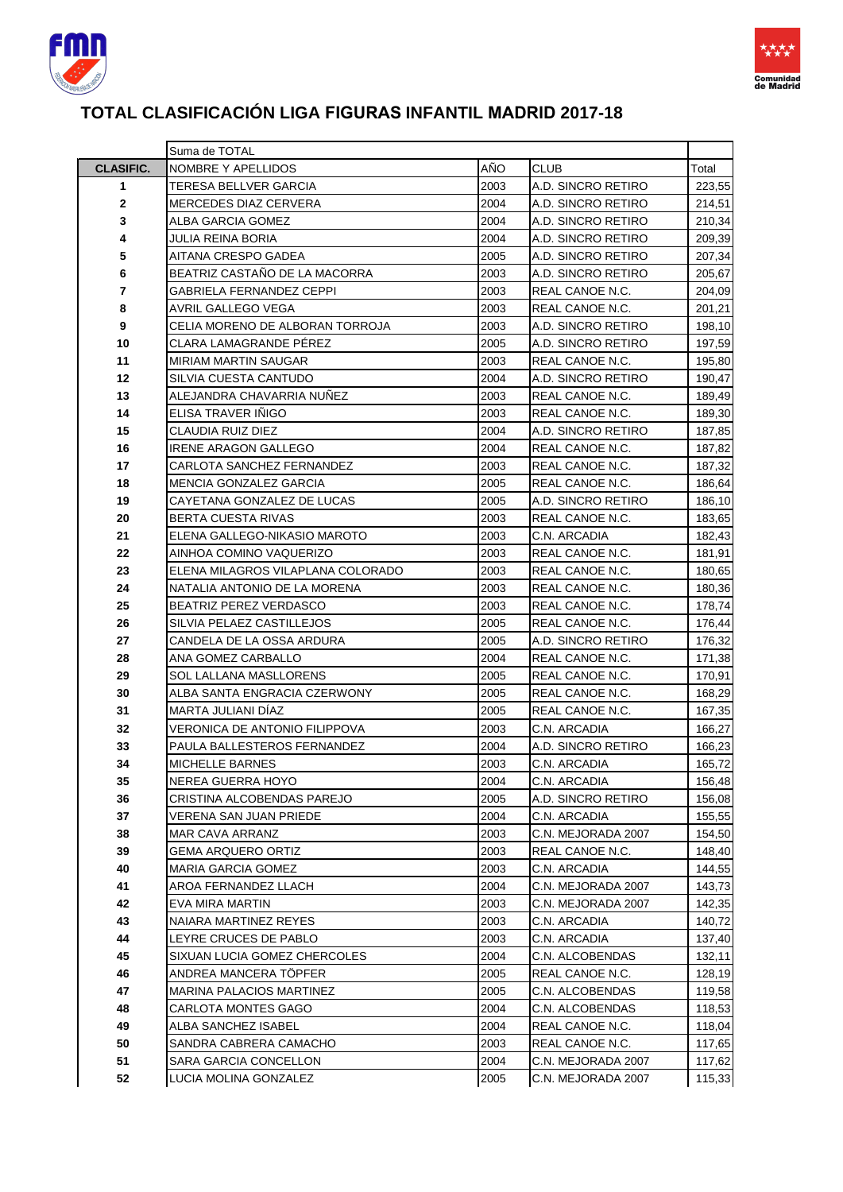



### **TOTAL CLASIFICACIÓN LIGA FIGURAS INFANTIL MADRID 2017-18**

|                  | Suma de TOTAL                     |      |                    |        |
|------------------|-----------------------------------|------|--------------------|--------|
| <b>CLASIFIC.</b> | NOMBRE Y APELLIDOS                | AÑO  | <b>CLUB</b>        | Total  |
| 1                | TERESA BELLVER GARCIA             | 2003 | A.D. SINCRO RETIRO | 223,55 |
| 2                | <b>MERCEDES DIAZ CERVERA</b>      | 2004 | A.D. SINCRO RETIRO | 214,51 |
| 3                | ALBA GARCIA GOMEZ                 | 2004 | A.D. SINCRO RETIRO | 210,34 |
| 4                | JULIA REINA BORIA                 | 2004 | A.D. SINCRO RETIRO | 209,39 |
| 5                | AITANA CRESPO GADEA               | 2005 | A.D. SINCRO RETIRO | 207,34 |
| 6                | BEATRIZ CASTAÑO DE LA MACORRA     | 2003 | A.D. SINCRO RETIRO | 205,67 |
| 7                | GABRIELA FERNANDEZ CEPPI          | 2003 | REAL CANOE N.C.    | 204,09 |
| 8                | AVRIL GALLEGO VEGA                | 2003 | REAL CANOE N.C.    | 201,21 |
| 9                | CELIA MORENO DE ALBORAN TORROJA   | 2003 | A.D. SINCRO RETIRO | 198,10 |
| 10               | CLARA LAMAGRANDE PEREZ            | 2005 | A.D. SINCRO RETIRO | 197,59 |
| 11               | <b>MIRIAM MARTIN SAUGAR</b>       | 2003 | REAL CANOE N.C.    | 195,80 |
| 12               | SILVIA CUESTA CANTUDO             | 2004 | A.D. SINCRO RETIRO | 190,47 |
| 13               | ALEJANDRA CHAVARRIA NUNEZ         | 2003 | REAL CANOE N.C.    | 189,49 |
| 14               | ELISA TRAVER INIGO                | 2003 | REAL CANOE N.C.    | 189,30 |
| 15               | CLAUDIA RUIZ DIEZ                 | 2004 | A.D. SINCRO RETIRO | 187,85 |
| 16               | <b>IRENE ARAGON GALLEGO</b>       | 2004 | REAL CANOE N.C.    | 187,82 |
| 17               | CARLOTA SANCHEZ FERNANDEZ         | 2003 | REAL CANOE N.C.    | 187,32 |
| 18               | <b>MENCIA GONZALEZ GARCIA</b>     | 2005 | REAL CANOE N.C.    | 186,64 |
| 19               | CAYETANA GONZALEZ DE LUCAS        | 2005 | A.D. SINCRO RETIRO | 186,10 |
| 20               | <b>BERTA CUESTA RIVAS</b>         | 2003 | REAL CANOE N.C.    | 183,65 |
| 21               | ELENA GALLEGO-NIKASIO MAROTO      | 2003 | C.N. ARCADIA       | 182,43 |
| 22               | AINHOA COMINO VAQUERIZO           | 2003 | REAL CANOE N.C.    | 181,91 |
| 23               | ELENA MILAGROS VILAPLANA COLORADO | 2003 | REAL CANOE N.C.    | 180,65 |
| 24               | NATALIA ANTONIO DE LA MORENA      | 2003 | REAL CANOE N.C.    | 180,36 |
| 25               | BEATRIZ PEREZ VERDASCO            | 2003 | REAL CANOE N.C.    | 178,74 |
| 26               | SILVIA PELAEZ CASTILLEJOS         | 2005 | REAL CANOE N.C.    | 176,44 |
| 27               | CANDELA DE LA OSSA ARDURA         | 2005 | A.D. SINCRO RETIRO | 176,32 |
| 28               | ANA GOMEZ CARBALLO                | 2004 | REAL CANOE N.C.    | 171,38 |
| 29               | SOL LALLANA MASLLORENS            | 2005 | REAL CANOE N.C.    | 170,91 |
| 30               | ALBA SANTA ENGRACIA CZERWONY      | 2005 | REAL CANOE N.C.    | 168,29 |
| 31               | MARTA JULIANI DIAZ                | 2005 | REAL CANOE N.C.    | 167,35 |
| 32               | VERONICA DE ANTONIO FILIPPOVA     | 2003 | C.N. ARCADIA       | 166,27 |
| 33               | PAULA BALLESTEROS FERNANDEZ       | 2004 | A.D. SINCRO RETIRO | 166,23 |
| 34               | <b>MICHELLE BARNES</b>            | 2003 | C.N. ARCADIA       | 165,72 |
| 35               | NEREA GUERRA HOYO                 | 2004 | C.N. ARCADIA       | 156,48 |
| 36               | CRISTINA ALCOBENDAS PAREJO        | 2005 | A.D. SINCRO RETIRO | 156,08 |
| 37               | VERENA SAN JUAN PRIEDE            | 2004 | C.N. ARCADIA       | 155,55 |
| 38               | <b>MAR CAVA ARRANZ</b>            | 2003 | C.N. MEJORADA 2007 | 154,50 |
| 39               | GEMA ARQUERO ORTIZ                | 2003 | REAL CANOE N.C.    | 148,40 |
| 40               | MARIA GARCIA GOMEZ                | 2003 | C.N. ARCADIA       | 144,55 |
| 41               | AROA FERNANDEZ LLACH              | 2004 | C.N. MEJORADA 2007 | 143,73 |
| 42               | <b>EVA MIRA MARTIN</b>            | 2003 | C.N. MEJORADA 2007 | 142,35 |
| 43               | NAIARA MARTINEZ REYES             | 2003 | C.N. ARCADIA       | 140,72 |
| 44               | LEYRE CRUCES DE PABLO             | 2003 | C.N. ARCADIA       | 137,40 |
| 45               | SIXUAN LUCIA GOMEZ CHERCOLES      | 2004 | C.N. ALCOBENDAS    | 132,11 |
| 46               | ANDREA MANCERA TÖPFER             | 2005 | REAL CANOE N.C.    | 128,19 |
| 47               | MARINA PALACIOS MARTINEZ          | 2005 | C.N. ALCOBENDAS    | 119,58 |
| 48               | CARLOTA MONTES GAGO               | 2004 | C.N. ALCOBENDAS    | 118,53 |
| 49               | ALBA SANCHEZ ISABEL               | 2004 | REAL CANOE N.C.    | 118,04 |
| 50               | SANDRA CABRERA CAMACHO            | 2003 | REAL CANOE N.C.    | 117,65 |
| 51               | SARA GARCIA CONCELLON             | 2004 | C.N. MEJORADA 2007 | 117,62 |
| 52               | LUCIA MOLINA GONZALEZ             | 2005 | C.N. MEJORADA 2007 | 115,33 |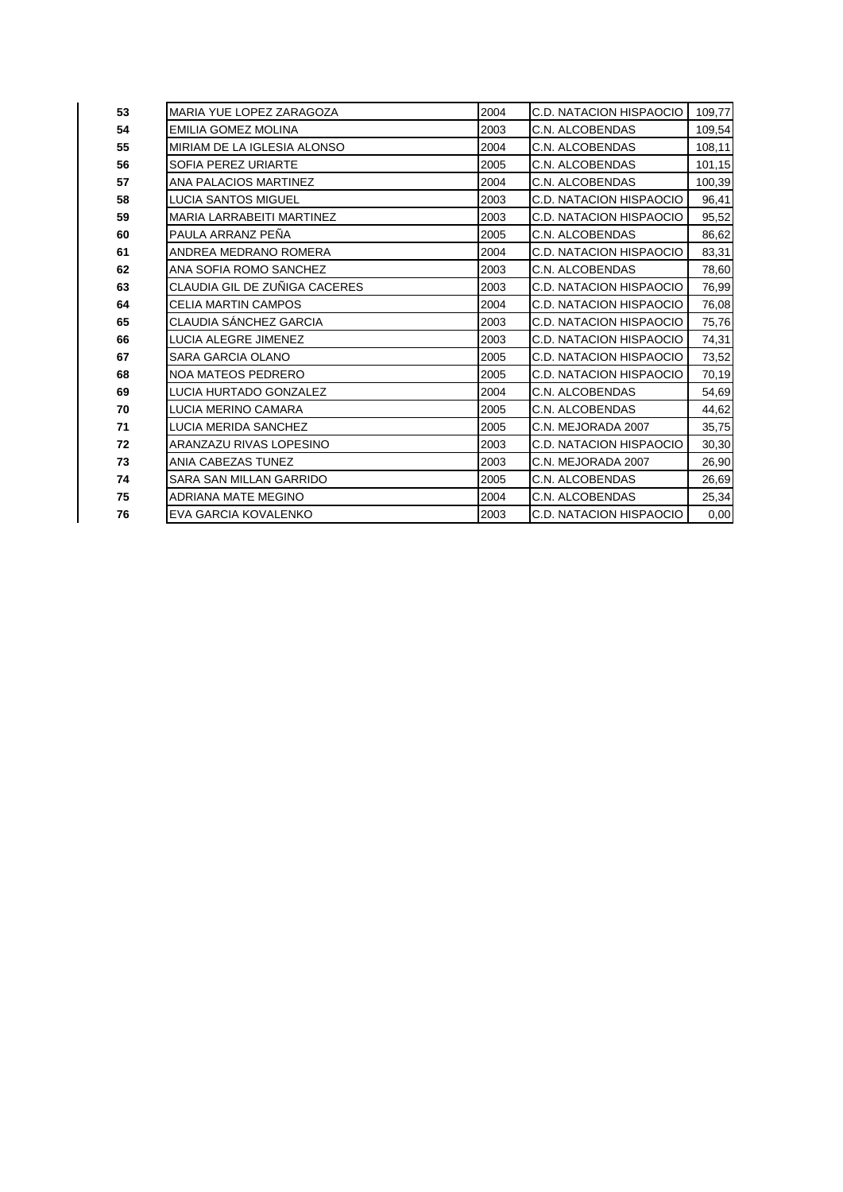| 53 | MARIA YUE LOPEZ ZARAGOZA         | 2004 | C.D. NATACION HISPAOCIO        | 109,77 |
|----|----------------------------------|------|--------------------------------|--------|
| 54 | EMILIA GOMEZ MOLINA              | 2003 | C.N. ALCOBENDAS                | 109,54 |
| 55 | MIRIAM DE LA IGLESIA ALONSO      | 2004 | C.N. ALCOBENDAS                | 108,11 |
| 56 | SOFIA PEREZ URIARTE              | 2005 | C.N. ALCOBENDAS                | 101,15 |
| 57 | <b>ANA PALACIOS MARTINEZ</b>     | 2004 | C.N. ALCOBENDAS                | 100,39 |
| 58 | <b>LUCIA SANTOS MIGUEL</b>       | 2003 | <b>C.D. NATACION HISPAOCIO</b> | 96,41  |
| 59 | <b>MARIA LARRABEITI MARTINEZ</b> | 2003 | <b>C.D. NATACION HISPAOCIO</b> | 95,52  |
| 60 | PAULA ARRANZ PEÑA                | 2005 | C.N. ALCOBENDAS                | 86,62  |
| 61 | ANDREA MEDRANO ROMERA            | 2004 | C.D. NATACION HISPAOCIO        | 83,31  |
| 62 | ANA SOFIA ROMO SANCHEZ           | 2003 | C.N. ALCOBENDAS                | 78,60  |
| 63 | CLAUDIA GIL DE ZUÑIGA CACERES    | 2003 | C.D. NATACION HISPAOCIO        | 76,99  |
| 64 | <b>CELIA MARTIN CAMPOS</b>       | 2004 | C.D. NATACION HISPAOCIO        | 76,08  |
| 65 | CLAUDIA SÁNCHEZ GARCIA           | 2003 | C.D. NATACION HISPAOCIO        | 75,76  |
| 66 | <b>LUCIA ALEGRE JIMENEZ</b>      | 2003 | <b>C.D. NATACION HISPAOCIO</b> | 74,31  |
| 67 | <b>SARA GARCIA OLANO</b>         | 2005 | C.D. NATACION HISPAOCIO        | 73,52  |
| 68 | <b>NOA MATEOS PEDRERO</b>        | 2005 | C.D. NATACION HISPAOCIO        | 70,19  |
| 69 | LUCIA HURTADO GONZALEZ           | 2004 | C.N. ALCOBENDAS                | 54,69  |
| 70 | LUCIA MERINO CAMARA              | 2005 | C.N. ALCOBENDAS                | 44,62  |
| 71 | <b>LUCIA MERIDA SANCHEZ</b>      | 2005 | C.N. MEJORADA 2007             | 35,75  |
| 72 | ARANZAZU RIVAS LOPESINO          | 2003 | C.D. NATACION HISPAOCIO        | 30,30  |
| 73 | ANIA CABEZAS TUNEZ               | 2003 | C.N. MEJORADA 2007             | 26,90  |
| 74 | SARA SAN MILLAN GARRIDO          | 2005 | C.N. ALCOBENDAS                | 26,69  |
| 75 | <b>ADRIANA MATE MEGINO</b>       | 2004 | C.N. ALCOBENDAS                | 25,34  |
| 76 | EVA GARCIA KOVALENKO             | 2003 | <b>C.D. NATACION HISPAOCIO</b> | 0,00   |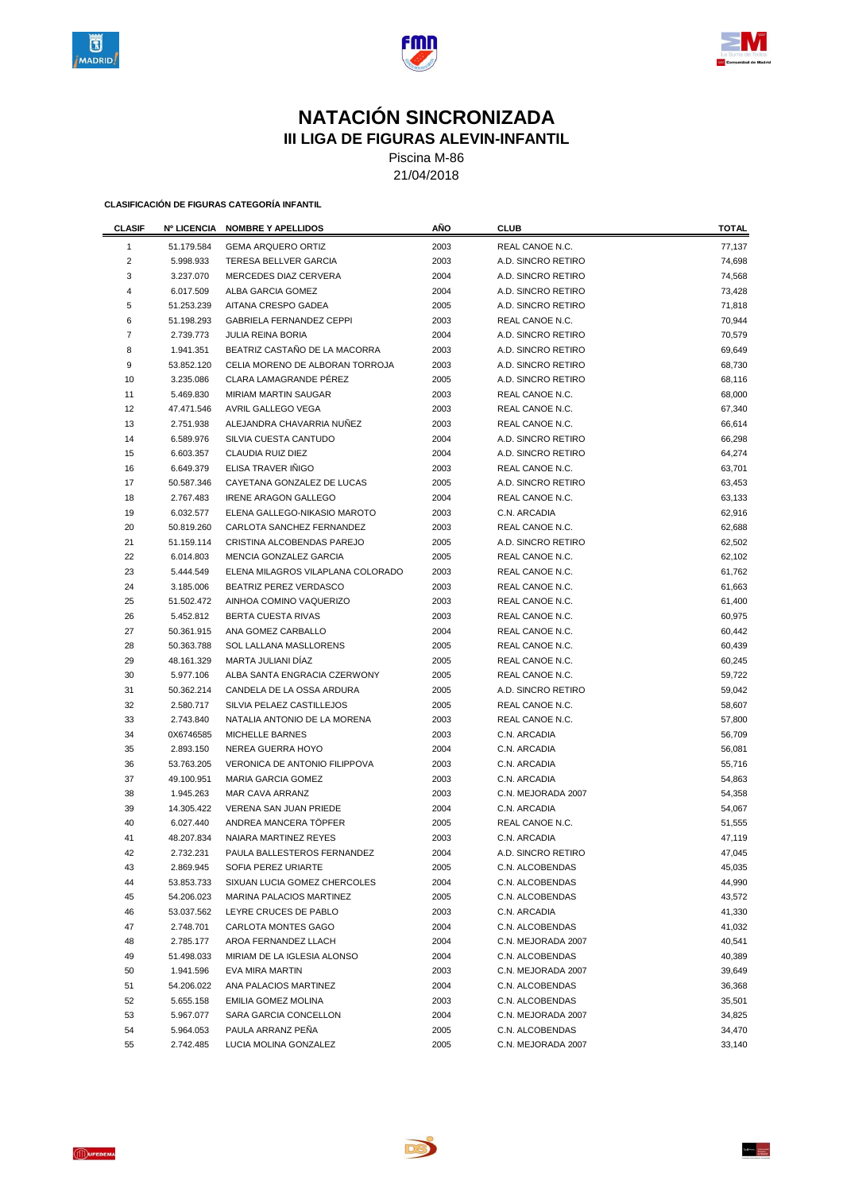





### **NATACIÓN SINCRONIZADA III LIGA DE FIGURAS ALEVIN-INFANTIL**

Piscina M-86

21/04/2018

| <b>CLASIF</b>  | <b>Nº LICENCIA</b> | <b>NOMBRE Y APELLIDOS</b>         | AÑO  | <b>CLUB</b>            | <b>TOTAL</b> |
|----------------|--------------------|-----------------------------------|------|------------------------|--------------|
| $\mathbf{1}$   | 51.179.584         | <b>GEMA ARQUERO ORTIZ</b>         | 2003 | REAL CANOE N.C.        | 77,137       |
| $\overline{2}$ | 5.998.933          | <b>TERESA BELLVER GARCIA</b>      | 2003 | A.D. SINCRO RETIRO     | 74,698       |
| 3              | 3.237.070          | MERCEDES DIAZ CERVERA             | 2004 | A.D. SINCRO RETIRO     | 74,568       |
| 4              | 6.017.509          | ALBA GARCIA GOMEZ                 | 2004 | A.D. SINCRO RETIRO     | 73,428       |
| 5              | 51.253.239         | AITANA CRESPO GADEA               | 2005 | A.D. SINCRO RETIRO     | 71,818       |
| 6              | 51.198.293         | <b>GABRIELA FERNANDEZ CEPPI</b>   | 2003 | REAL CANOE N.C.        | 70,944       |
| $\overline{7}$ | 2.739.773          | <b>JULIA REINA BORIA</b>          | 2004 | A.D. SINCRO RETIRO     | 70,579       |
| 8              | 1.941.351          | BEATRIZ CASTAÑO DE LA MACORRA     | 2003 | A.D. SINCRO RETIRO     | 69,649       |
| 9              | 53.852.120         | CELIA MORENO DE ALBORAN TORROJA   | 2003 | A.D. SINCRO RETIRO     | 68,730       |
| 10             | 3.235.086          | CLARA LAMAGRANDE PEREZ            | 2005 | A.D. SINCRO RETIRO     | 68,116       |
| 11             | 5.469.830          | MIRIAM MARTIN SAUGAR              | 2003 | REAL CANOE N.C.        | 68,000       |
| 12             | 47.471.546         | AVRIL GALLEGO VEGA                | 2003 | REAL CANOE N.C.        | 67,340       |
| 13             | 2.751.938          | ALEJANDRA CHAVARRIA NUÑEZ         | 2003 | REAL CANOE N.C.        | 66,614       |
| 14             | 6.589.976          | SILVIA CUESTA CANTUDO             | 2004 | A.D. SINCRO RETIRO     | 66,298       |
| 15             | 6.603.357          | CLAUDIA RUIZ DIEZ                 | 2004 | A.D. SINCRO RETIRO     | 64,274       |
| 16             | 6.649.379          | ELISA TRAVER IÑIGO                | 2003 | REAL CANOE N.C.        | 63,701       |
| 17             | 50.587.346         | CAYETANA GONZALEZ DE LUCAS        | 2005 | A.D. SINCRO RETIRO     | 63,453       |
| 18             | 2.767.483          | <b>IRENE ARAGON GALLEGO</b>       | 2004 | <b>REAL CANOE N.C.</b> | 63,133       |
| 19             | 6.032.577          | ELENA GALLEGO-NIKASIO MAROTO      | 2003 | C.N. ARCADIA           | 62,916       |
| 20             | 50.819.260         | CARLOTA SANCHEZ FERNANDEZ         | 2003 | REAL CANOE N.C.        | 62,688       |
| 21             | 51.159.114         | CRISTINA ALCOBENDAS PAREJO        | 2005 | A.D. SINCRO RETIRO     | 62,502       |
| 22             | 6.014.803          | MENCIA GONZALEZ GARCIA            | 2005 | REAL CANOE N.C.        | 62,102       |
| 23             | 5.444.549          | ELENA MILAGROS VILAPLANA COLORADO | 2003 | REAL CANOE N.C.        | 61,762       |
| 24             | 3.185.006          | BEATRIZ PEREZ VERDASCO            | 2003 | REAL CANOE N.C.        | 61,663       |
| 25             | 51.502.472         | AINHOA COMINO VAQUERIZO           | 2003 | REAL CANOE N.C.        | 61,400       |
| 26             | 5.452.812          | BERTA CUESTA RIVAS                | 2003 | REAL CANOE N.C.        | 60,975       |
| 27             | 50.361.915         | ANA GOMEZ CARBALLO                | 2004 | REAL CANOE N.C.        | 60,442       |
| 28             | 50.363.788         | SOL LALLANA MASLLORENS            | 2005 | REAL CANOE N.C.        | 60,439       |
| 29             | 48.161.329         | MARTA JULIANI DIAZ                | 2005 | REAL CANOE N.C.        | 60,245       |
| 30             | 5.977.106          | ALBA SANTA ENGRACIA CZERWONY      | 2005 | REAL CANOE N.C.        | 59,722       |
| 31             | 50.362.214         | CANDELA DE LA OSSA ARDURA         | 2005 | A.D. SINCRO RETIRO     | 59,042       |
| 32             | 2.580.717          | SILVIA PELAEZ CASTILLEJOS         | 2005 | REAL CANOE N.C.        | 58,607       |
| 33             | 2.743.840          | NATALIA ANTONIO DE LA MORENA      | 2003 | REAL CANOE N.C.        | 57,800       |
| 34             | 0X6746585          | <b>MICHELLE BARNES</b>            | 2003 | C.N. ARCADIA           | 56,709       |
| 35             | 2.893.150          | NEREA GUERRA HOYO                 | 2004 | C.N. ARCADIA           | 56,081       |
| 36             | 53.763.205         | VERONICA DE ANTONIO FILIPPOVA     | 2003 | C.N. ARCADIA           | 55,716       |
| 37             | 49.100.951         | <b>MARIA GARCIA GOMEZ</b>         | 2003 | C.N. ARCADIA           | 54,863       |
| 38             | 1.945.263          | MAR CAVA ARRANZ                   | 2003 | C.N. MEJORADA 2007     | 54,358       |
| 39             | 14.305.422         | <b>VERENA SAN JUAN PRIEDE</b>     | 2004 | C.N. ARCADIA           | 54,067       |
| 40             | 6.027.440          | ANDREA MANCERA TÖPFER             | 2005 | REAL CANOE N.C.        | 51,555       |
| 41             | 48.207.834         | NAIARA MARTINEZ REYES             | 2003 | C.N. ARCADIA           | 47,119       |
| 42             | 2.732.231          | PAULA BALLESTEROS FERNANDEZ       | 2004 | A.D. SINCRO RETIRO     | 47,045       |
| 43             | 2.869.945          | SOFIA PEREZ URIARTE               | 2005 | C.N. ALCOBENDAS        | 45,035       |
| 44             | 53.853.733         | SIXUAN LUCIA GOMEZ CHERCOLES      | 2004 | C.N. ALCOBENDAS        | 44,990       |
| 45             | 54.206.023         | MARINA PALACIOS MARTINEZ          | 2005 | C.N. ALCOBENDAS        | 43,572       |
| 46             | 53.037.562         | LEYRE CRUCES DE PABLO             | 2003 | C.N. ARCADIA           | 41,330       |
| 47             | 2.748.701          | CARLOTA MONTES GAGO               | 2004 | C.N. ALCOBENDAS        | 41,032       |
| 48             | 2.785.177          | AROA FERNANDEZ LLACH              | 2004 | C.N. MEJORADA 2007     | 40,541       |
| 49             | 51.498.033         | MIRIAM DE LA IGLESIA ALONSO       | 2004 | C.N. ALCOBENDAS        | 40,389       |
| 50             | 1.941.596          | EVA MIRA MARTIN                   | 2003 | C.N. MEJORADA 2007     | 39,649       |
| 51             | 54.206.022         | ANA PALACIOS MARTINEZ             | 2004 | C.N. ALCOBENDAS        | 36,368       |
| 52             | 5.655.158          | EMILIA GOMEZ MOLINA               | 2003 | C.N. ALCOBENDAS        | 35,501       |
| 53             | 5.967.077          | SARA GARCIA CONCELLON             | 2004 | C.N. MEJORADA 2007     | 34,825       |
| 54             | 5.964.053          | PAULA ARRANZ PEÑA                 | 2005 | C.N. ALCOBENDAS        | 34,470       |
| 55             | 2.742.485          | LUCIA MOLINA GONZALEZ             | 2005 | C.N. MEJORADA 2007     | 33,140       |



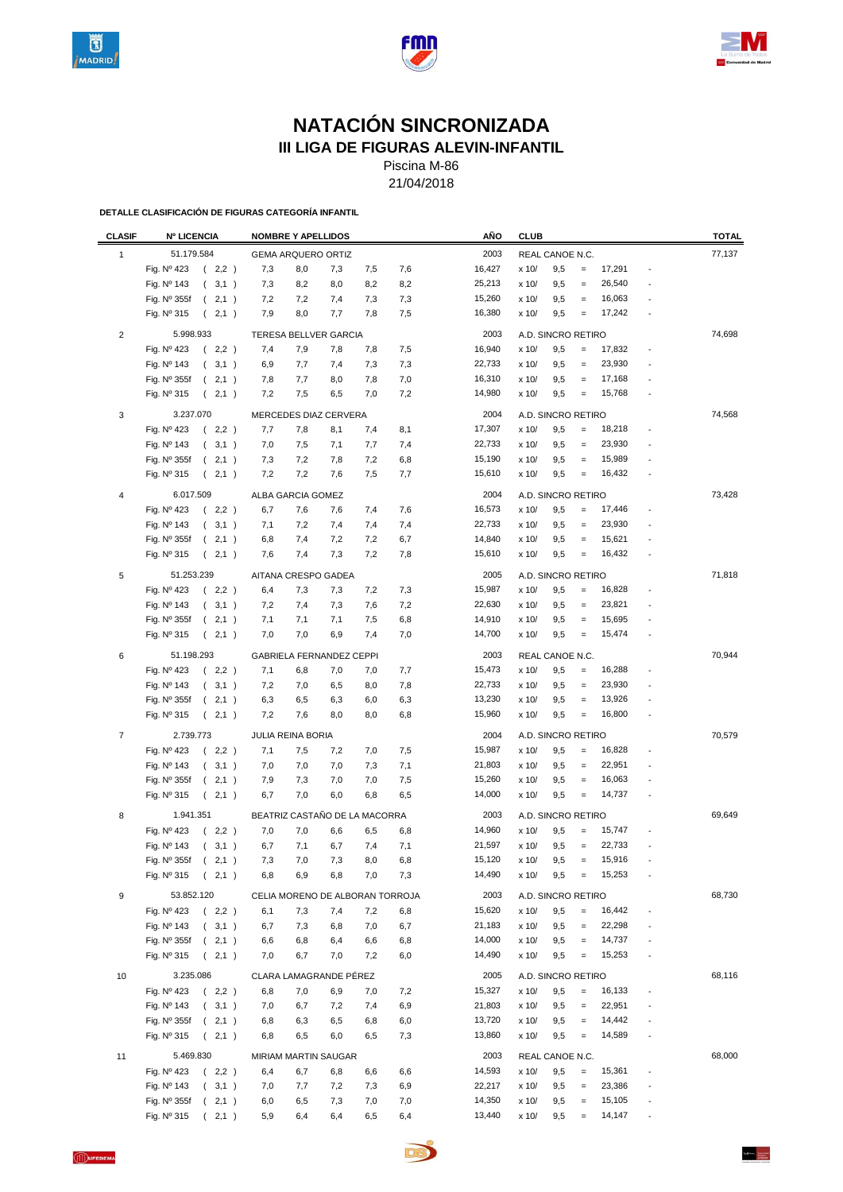





# **NATACIÓN SINCRONIZADA**

**III LIGA DE FIGURAS ALEVIN-INFANTIL**

Piscina M-86 21/04/2018

| <b>CLASIF</b>  | <b>Nº LICENCIA</b>                            |            | <b>NOMBRE Y APELLIDOS</b>       |            |                                 |            | AÑO              | <b>CLUB</b>    |                        |                                        |                  |                          | <b>TOTAL</b> |
|----------------|-----------------------------------------------|------------|---------------------------------|------------|---------------------------------|------------|------------------|----------------|------------------------|----------------------------------------|------------------|--------------------------|--------------|
| 1              | 51.179.584                                    |            | <b>GEMA ARQUERO ORTIZ</b>       |            |                                 |            | 2003             |                | REAL CANOE N.C.        |                                        |                  |                          | 77,137       |
|                | Fig. Nº 423<br>(2,2)                          | 7,3        | 8,0                             | 7,3        | 7,5                             | 7,6        | 16,427           | x 10/          | 9,5                    | $\equiv$                               | 17,291           |                          |              |
|                | Fig. Nº 143<br>(3,1)                          | 7,3        | 8,2                             | 8,0        | 8,2                             | 8,2        | 25,213           | x 10/          | 9,5                    | $\equiv$                               | 26,540           |                          |              |
|                | Fig. Nº 355f<br>(2,1)                         | 7,2        | 7,2                             | 7,4        | 7,3                             | 7,3        | 15,260           | x 10/          | 9,5                    | $\equiv$                               | 16,063           |                          |              |
|                | Fig. Nº 315<br>(2,1)                          | 7,9        | 8,0                             | 7,7        | 7,8                             | 7,5        | 16,380           | x 10/          | 9,5                    | $\equiv$                               | 17,242           |                          |              |
| $\overline{2}$ | 5.998.933                                     |            | TERESA BELLVER GARCIA           |            |                                 |            | 2003             |                | A.D. SINCRO RETIRO     |                                        |                  |                          | 74,698       |
|                | Fig. Nº 423<br>(2,2)                          | 7,4        | 7,9                             | 7,8        | 7,8                             | 7,5        | 16,940           | x 10/          | 9,5                    | $=$                                    | 17,832           | $\overline{\phantom{a}}$ |              |
|                | Fig. Nº 143<br>(3,1)                          | 6,9        | 7,7                             | 7,4        | 7,3                             | 7,3        | 22,733           | x 10/          | 9,5                    | $\qquad \qquad =$                      | 23,930           |                          |              |
|                | (2,1)<br>Fig. Nº 355f                         | 7,8        | 7,7                             | 8,0        | 7,8                             | 7,0        | 16,310           | x 10/          | 9,5                    | $\qquad \qquad =$                      | 17,168           |                          |              |
|                | Fig. Nº 315<br>$\left($<br>2,1)               | 7,2        | 7,5                             | 6,5        | 7,0                             | 7,2        | 14,980           | x 10/          | 9,5                    | $\equiv$                               | 15,768           | ÷,                       |              |
| 3              | 3.237.070                                     |            | MERCEDES DIAZ CERVERA           |            |                                 |            | 2004             |                | A.D. SINCRO RETIRO     |                                        |                  |                          | 74,568       |
|                | Fig. Nº 423<br>(2,2)                          | 7,7        | 7,8                             | 8,1        | 7,4                             | 8,1        | 17,307           | x 10/          | 9,5                    | $\qquad \qquad =$                      | 18,218           |                          |              |
|                | Fig. Nº 143<br>(3,1)                          | 7,0        | 7,5                             | 7,1        | 7,7                             | 7,4        | 22,733           | x 10/          | 9,5                    | $\qquad \qquad =$                      | 23,930           |                          |              |
|                | Fig. Nº 355f<br>(2,1)                         | 7,3        | 7,2                             | 7,8        | 7,2                             | 6,8        | 15,190           | x 10/          | 9,5                    | $\qquad \qquad =$                      | 15,989           |                          |              |
|                | Fig. Nº 315<br>(2,1)                          | 7,2        | 7,2                             | 7,6        | 7,5                             | 7,7        | 15,610           | x 10/          | 9,5                    | $\qquad \qquad =$                      | 16,432           |                          |              |
|                |                                               |            |                                 |            |                                 |            |                  |                |                        |                                        |                  |                          |              |
| 4              | 6.017.509                                     |            | ALBA GARCIA GOMEZ               |            |                                 |            | 2004             |                | A.D. SINCRO RETIRO     |                                        |                  |                          | 73,428       |
|                | Fig. Nº 423<br>(2,2)                          | 6,7        | 7,6                             | 7,6        | 7,4                             | 7,6        | 16,573           | x 10/          | 9,5                    | $\qquad \qquad =$                      | 17,446           | $\overline{\phantom{a}}$ |              |
|                | Fig. Nº 143<br>(3,1)                          | 7,1        | 7,2                             | 7,4        | 7,4                             | 7,4        | 22,733           | x 10/          | 9,5                    | $\qquad \qquad =$                      | 23,930           |                          |              |
|                | Fig. Nº 355f<br>(2,1)<br>Fig. Nº 315          | 6,8        | 7,4                             | 7,2<br>7,3 | 7,2<br>7,2                      | 6,7        | 14,840<br>15,610 | x 10/          | 9,5<br>9,5             | $\qquad \qquad =$<br>$\qquad \qquad =$ | 15,621<br>16,432 |                          |              |
|                | (2,1)                                         | 7,6        | 7,4                             |            |                                 | 7,8        |                  | x 10/          |                        |                                        |                  |                          |              |
| 5              | 51.253.239<br>Fig. Nº 423                     |            | AITANA CRESPO GADEA             |            |                                 |            | 2005             |                | A.D. SINCRO RETIRO     |                                        |                  |                          | 71,818       |
|                | (2,2)                                         | 6,4        | 7,3                             | 7,3        | 7,2                             | 7,3        | 15,987           | x 10/          | 9,5                    | $\qquad \qquad =$                      | 16,828           |                          |              |
|                | Fig. Nº 143<br>(3,1)                          | 7,2        | 7,4                             | 7,3        | 7,6                             | 7,2        | 22,630<br>14,910 | x 10/          | 9,5                    | $\qquad \qquad =$                      | 23,821<br>15,695 |                          |              |
|                | Fig. Nº 355f<br>(2,1)<br>Fig. Nº 315          | 7,1<br>7,0 | 7,1<br>7,0                      | 7,1<br>6,9 | 7,5<br>7,4                      | 6,8<br>7,0 | 14,700           | x 10/<br>x 10/ | 9,5<br>9,5             | $\qquad \qquad =$<br>$\qquad \qquad =$ | 15,474           |                          |              |
|                | (2,1)                                         |            |                                 |            |                                 |            |                  |                |                        |                                        |                  |                          |              |
| 6              | 51.198.293<br>Fig. $N^{\circ}$ 423<br>(2,2)   | 7,1        | GABRIELA FERNANDEZ CEPPI<br>6,8 | 7,0        | 7,0                             | 7,7        | 2003<br>15,473   | x 10/          | REAL CANOE N.C.<br>9,5 | $\quad \  \, =$                        | 16,288           | $\overline{\phantom{a}}$ | 70,944       |
|                | Fig. Nº 143<br>(3,1)                          | 7,2        | 7,0                             | 6,5        | 8,0                             | 7,8        | 22,733           | x 10/          | 9,5                    | $\qquad \qquad =$                      | 23,930           |                          |              |
|                | Fig. Nº 355f<br>(2,1)                         | 6,3        | 6,5                             | 6,3        | 6,0                             | 6,3        | 13,230           | x 10/          | 9,5                    | $\equiv$                               | 13,926           |                          |              |
|                | Fig. Nº 315<br>(2,1)                          | 7,2        | 7,6                             | 8,0        | 8,0                             | 6,8        | 15,960           | x 10/          | 9,5                    | $=$                                    | 16,800           |                          |              |
| $\overline{7}$ | 2.739.773                                     |            |                                 |            |                                 |            | 2004             |                |                        |                                        |                  |                          | 70,579       |
|                |                                               |            | JULIA REINA BORIA               |            |                                 |            |                  |                | A.D. SINCRO RETIRO     |                                        |                  |                          |              |
|                | Fig. Nº 423<br>(2,2)                          | 7,1        | 7,5                             | 7,2        | 7,0                             | 7,5        | 15,987           | x 10/          | 9,5                    | $\qquad \qquad =$                      | 16,828           |                          |              |
|                | Fig. Nº 143<br>(3,1)                          | 7,0        | 7,0                             | 7,0        | 7,3                             | 7,1        | 21,803<br>15,260 | x 10/          | 9,5                    | $\qquad \qquad =$<br>$=$               | 22,951<br>16,063 |                          |              |
|                | Fig. Nº 355f<br>(2,1)<br>Fig. Nº 315<br>(2,1) | 7,9<br>6,7 | 7,3<br>7,0                      | 7,0<br>6,0 | 7,0<br>6,8                      | 7,5<br>6,5 | 14,000           | x 10/<br>x 10/ | 9,5<br>9,5             | $\equiv$                               | 14,737           |                          |              |
|                |                                               |            |                                 |            |                                 |            |                  |                |                        |                                        |                  |                          |              |
| 8              | 1.941.351                                     |            |                                 |            | BEATRIZ CASTAÑO DE LA MACORRA   |            | 2003             |                | A.D. SINCRO RETIRO     |                                        |                  |                          | 69,649       |
|                | Fig. Nº 423<br>(2,2)                          | 7,0        | 7,0                             | 6,6        | 6,5                             | 6,8        | 14,960           | x 10/          | 9,5                    | $\equiv$                               | 15,747           |                          |              |
|                | Fig. Nº 143<br>(3,1)                          | 6,7        | 7,1                             | 6,7        | 7,4                             | 7,1        | 21,597           | x 10/          | 9,5                    | $\qquad \qquad =$                      | 22,733           |                          |              |
|                | Fig. Nº 355f (2,1)                            | 7,3        | 7,0                             | 7,3        | 8,0                             | 6,8        | 15,120<br>14,490 | x 10/          | 9,5                    |                                        | 15,916           |                          |              |
|                | Fig. Nº 315<br>(2,1)                          | 6,8        | 6,9                             | 6,8        | 7,0                             | 7,3        |                  | x 10/          | 9,5                    | $\qquad \qquad =$                      | 15,253           |                          |              |
| 9              | 53.852.120                                    |            |                                 |            | CELIA MORENO DE ALBORAN TORROJA |            | 2003             |                | A.D. SINCRO RETIRO     |                                        |                  |                          | 68,730       |
|                | Fig. Nº 423<br>(2,2)                          | 6,1        | 7,3                             | 7,4        | 7,2                             | 6,8        | 15,620           | x 10/          | 9,5                    | $=$                                    | 16,442           | $\overline{\phantom{a}}$ |              |
|                | Fig. Nº 143<br>(3,1)                          | 6,7        | 7,3                             | 6,8        | 7,0                             | 6,7        | 21,183           | x 10/          | 9,5                    | $=$                                    | 22,298           | $\overline{\phantom{a}}$ |              |
|                | Fig. Nº 355f<br>(2,1)                         | 6,6        | 6,8                             | 6,4        | 6,6                             | 6,8        | 14,000           | x 10/          | 9,5                    | $=$                                    | 14,737           |                          |              |
|                | Fig. Nº 315<br>(2,1)                          | 7,0        | 6,7                             | 7,0        | 7,2                             | 6,0        | 14,490           | x 10/          | 9,5                    | $\equiv$                               | 15,253           | ÷,                       |              |
| 10             | 3.235.086                                     |            | CLARA LAMAGRANDE PÉREZ          |            |                                 |            | 2005             |                | A.D. SINCRO RETIRO     |                                        |                  |                          | 68,116       |
|                | Fig. Nº 423<br>(2,2)                          | 6,8        | 7,0                             | 6,9        | 7,0                             | 7,2        | 15,327           | x 10/          | 9,5                    | $=$                                    | 16,133           |                          |              |
|                | Fig. Nº 143<br>(3,1)                          | 7,0        | 6,7                             | 7,2        | 7,4                             | 6,9        | 21,803           | x 10/          | 9,5                    | $\equiv$                               | 22,951           |                          |              |
|                | Fig. Nº 355f<br>(2,1)                         | 6,8        | 6,3                             | 6,5        | 6,8                             | 6,0        | 13,720           | x 10/          | 9,5                    | $=$                                    | 14,442           |                          |              |
|                | Fig. Nº 315<br>(2,1)                          | 6,8        | 6,5                             | 6,0        | 6,5                             | 7,3        | 13,860           | x 10/          | 9,5                    | $\!=$                                  | 14,589           |                          |              |
| 11             | 5.469.830                                     |            | MIRIAM MARTIN SAUGAR            |            |                                 |            | 2003             |                | REAL CANOE N.C.        |                                        |                  |                          | 68,000       |
|                | (2,2)<br>Fig. Nº 423                          | 6,4        | 6,7                             | 6,8        | 6,6                             | 6,6        | 14,593           | x 10/          | 9,5                    | $\equiv$                               | 15,361           | $\overline{\phantom{a}}$ |              |
|                | Fig. Nº 143<br>(3,1)                          | 7,0        | 7,7                             | 7,2        | 7,3                             | 6,9        | 22,217           | x 10/          | 9,5                    | $=$                                    | 23,386           | $\overline{\phantom{a}}$ |              |
|                | (2,1)<br>Fig. $N^{\circ}$ 355f                | 6,0        | 6,5                             | 7,3        | 7,0                             | 7,0        | 14,350           | x 10/          | 9,5                    | $\equiv$                               | 15,105           | $\overline{\phantom{a}}$ |              |
|                | Fig. Nº 315<br>2,1)                           | 5,9        | 6,4                             | 6,4        | 6,5                             | 6,4        | 13,440           | x 10/          | 9,5                    | $\quad \  \, =$                        | 14,147           |                          |              |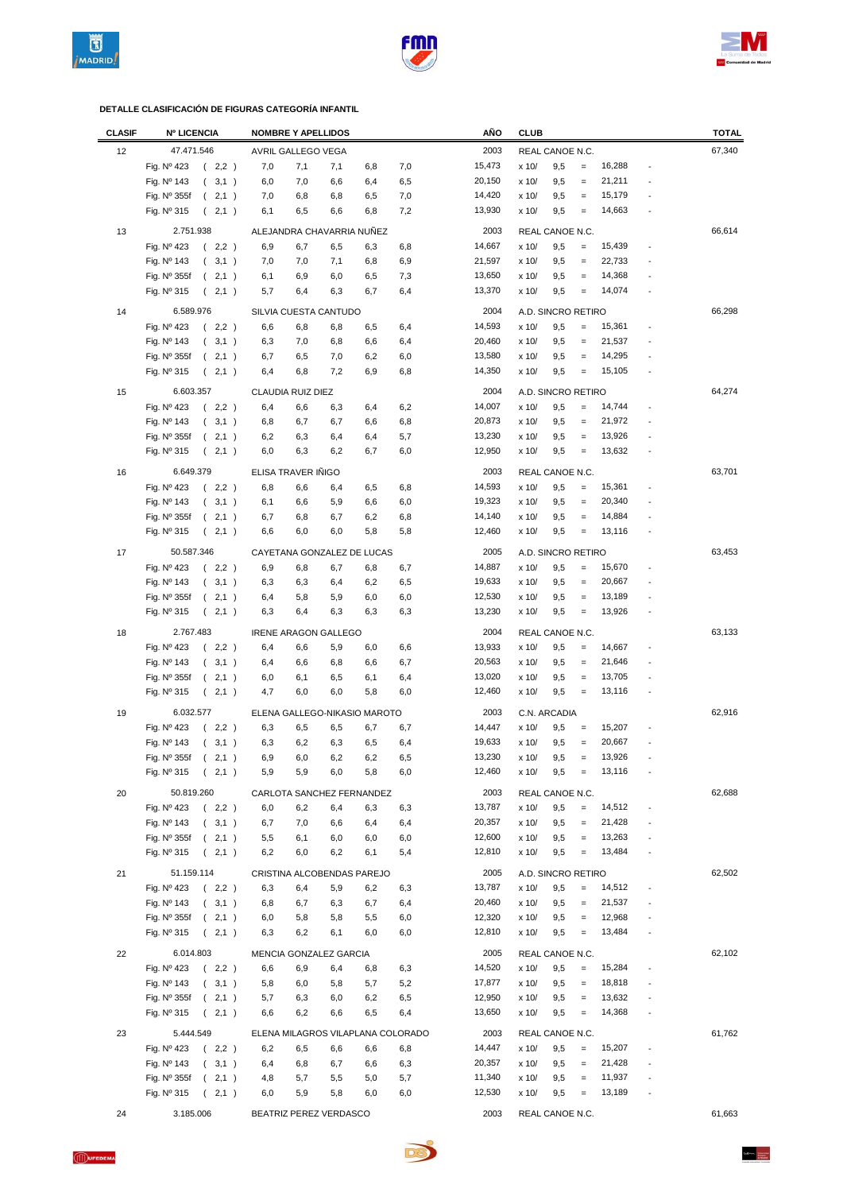





| <b>CLASIF</b> | <b>Nº LICENCIA</b>          |                        |     | <b>NOMBRE Y APELLIDOS</b>   |     |                              |                                   | AÑO    | <b>CLUB</b>    |                    |                   |        |                          | <b>TOTAL</b> |
|---------------|-----------------------------|------------------------|-----|-----------------------------|-----|------------------------------|-----------------------------------|--------|----------------|--------------------|-------------------|--------|--------------------------|--------------|
| 12            | 47.471.546                  |                        |     | AVRIL GALLEGO VEGA          |     |                              |                                   | 2003   |                | REAL CANOE N.C.    |                   |        |                          | 67,340       |
|               | Fig. Nº 423                 | (2,2)                  | 7,0 | 7,1                         | 7,1 | 6,8                          | 7,0                               | 15,473 | x 10/          | 9,5                | $\equiv$          | 16,288 |                          |              |
|               | Fig. Nº 143                 | (3,1)                  | 6,0 | 7,0                         | 6,6 | 6,4                          | 6,5                               | 20,150 | x 10/          | 9,5                | $\equiv$          | 21,211 |                          |              |
|               | Fig. Nº 355f                | (2,1)                  | 7,0 | 6,8                         | 6,8 | 6,5                          | 7,0                               | 14,420 | x 10/          | 9,5                | $\qquad \qquad =$ | 15,179 |                          |              |
|               | Fig. Nº 315                 | 2,1)<br>$\left($       | 6,1 | 6,5                         | 6,6 | 6,8                          | 7,2                               | 13,930 | x 10/          | 9,5                | $\equiv$          | 14,663 |                          |              |
|               |                             |                        |     |                             |     |                              |                                   |        |                |                    |                   |        |                          |              |
| 13            | 2.751.938                   |                        |     |                             |     | ALEJANDRA CHAVARRIA NUÑEZ    |                                   | 2003   |                | REAL CANOE N.C.    |                   |        |                          | 66,614       |
|               | Fig. Nº 423                 | (2,2)                  | 6,9 | 6,7                         | 6,5 | 6,3                          | 6,8                               | 14,667 | x 10/          | 9,5                | $\equiv$          | 15,439 |                          |              |
|               | Fig. Nº 143                 | (3,1)                  | 7,0 | 7,0                         | 7,1 | 6,8                          | 6,9                               | 21,597 | x 10/          | 9,5                | $\equiv$          | 22,733 |                          |              |
|               | Fig. Nº 355f                | (2,1)                  | 6,1 | 6,9                         | 6,0 | 6,5                          | 7,3                               | 13,650 | x 10/          | 9,5                | $\qquad \qquad =$ | 14,368 |                          |              |
|               | Fig. Nº 315                 | (2,1)                  | 5,7 | 6,4                         | 6,3 | 6,7                          | 6,4                               | 13,370 | x 10/          | 9,5                | $\equiv$          | 14,074 |                          |              |
| 14            | 6.589.976                   |                        |     | SILVIA CUESTA CANTUDO       |     |                              |                                   | 2004   |                | A.D. SINCRO RETIRO |                   |        |                          | 66,298       |
|               | Fig. Nº 423                 | (2,2)                  | 6,6 | 6,8                         | 6,8 | 6,5                          | 6,4                               | 14,593 | x 10/          | 9,5                | $\equiv$          | 15,361 |                          |              |
|               | Fig. Nº 143                 | (3,1)                  | 6,3 | 7,0                         | 6,8 | 6,6                          | 6,4                               | 20,460 | x 10/          | 9,5                | $\qquad \qquad =$ | 21,537 |                          |              |
|               | Fig. Nº 355f                | 2,1)<br>$\left($       | 6,7 | 6,5                         | 7,0 | 6,2                          | 6,0                               | 13,580 | x 10/          | 9,5                | $\qquad \qquad =$ | 14,295 |                          |              |
|               | Fig. Nº 315                 | (2,1)                  | 6,4 | 6,8                         | 7,2 | 6,9                          | 6,8                               | 14,350 | x 10/          | 9,5                | $\equiv$          | 15,105 |                          |              |
| 15            | 6.603.357                   |                        |     | CLAUDIA RUIZ DIEZ           |     |                              |                                   | 2004   |                | A.D. SINCRO RETIRO |                   |        |                          | 64,274       |
|               |                             |                        |     |                             |     |                              |                                   | 14,007 |                |                    |                   | 14,744 |                          |              |
|               | Fig. Nº 423                 | (2,2)                  | 6,4 | 6,6                         | 6,3 | 6,4                          | 6,2                               | 20,873 | x 10/          | 9,5                | $\equiv$          | 21,972 |                          |              |
|               | Fig. Nº 143                 | (3,1)                  | 6,8 | 6,7                         | 6,7 | 6,6                          | 6,8                               | 13,230 | x 10/          | 9,5                | $\qquad \qquad =$ | 13,926 |                          |              |
|               | Fig. Nº 355f<br>Fig. Nº 315 | (2,1)                  | 6,2 | 6,3<br>6,3                  | 6,4 | 6,4                          | 5,7<br>6,0                        | 12,950 | x 10/<br>x 10/ | 9,5<br>9,5         | $\qquad \qquad =$ | 13,632 |                          |              |
|               |                             | 2,1)<br>$\left($       | 6,0 |                             | 6,2 | 6,7                          |                                   |        |                |                    | $\qquad \qquad =$ |        |                          |              |
| 16            | 6.649.379                   |                        |     | ELISA TRAVER IÑIGO          |     |                              |                                   | 2003   |                | REAL CANOE N.C.    |                   |        |                          | 63,701       |
|               | Fig. Nº 423                 | (2,2)                  | 6,8 | 6,6                         | 6,4 | 6,5                          | 6,8                               | 14,593 | x 10/          | 9,5                | $\equiv$          | 15,361 |                          |              |
|               | Fig. Nº 143                 | (3,1)                  | 6,1 | 6,6                         | 5,9 | 6,6                          | 6,0                               | 19,323 | x 10/          | 9,5                | $\qquad \qquad =$ | 20,340 |                          |              |
|               | Fig. $N^{\circ}$ 355f       | (2,1)                  | 6,7 | 6,8                         | 6,7 | 6,2                          | 6,8                               | 14,140 | x 10/          | 9,5                | $\equiv$          | 14,884 |                          |              |
|               | Fig. Nº 315                 | (2,1)                  | 6,6 | 6,0                         | 6,0 | 5,8                          | 5,8                               | 12,460 | x 10/          | 9,5                | $\equiv$          | 13,116 |                          |              |
| 17            | 50.587.346                  |                        |     |                             |     | CAYETANA GONZALEZ DE LUCAS   |                                   | 2005   |                | A.D. SINCRO RETIRO |                   |        |                          | 63,453       |
|               | Fig. Nº 423                 | (2,2)                  | 6,9 | 6,8                         | 6,7 | 6,8                          | 6,7                               | 14,887 | x 10/          | 9,5                | $\equiv$          | 15,670 |                          |              |
|               | Fig. Nº 143                 | (3,1)                  | 6,3 | 6,3                         | 6,4 | 6,2                          | 6,5                               | 19,633 | x 10/          | 9,5                | $\qquad \qquad =$ | 20,667 |                          |              |
|               | Fig. Nº 355f                | (2,1)                  | 6,4 | 5,8                         | 5,9 | 6,0                          | 6,0                               | 12,530 | x 10/          | 9,5                | $\qquad \qquad =$ | 13,189 |                          |              |
|               | Fig. Nº 315                 | 2,1)<br>$\left($       | 6,3 | 6,4                         | 6,3 | 6,3                          | 6,3                               | 13,230 | x 10/          | 9,5                | $=$               | 13,926 |                          |              |
|               |                             |                        |     |                             |     |                              |                                   |        |                |                    |                   |        |                          |              |
| 18            | 2.767.483                   |                        |     | <b>IRENE ARAGON GALLEGO</b> |     |                              |                                   | 2004   |                | REAL CANOE N.C.    |                   |        |                          | 63,133       |
|               | Fig. Nº 423                 | (2,2)                  | 6,4 | 6,6                         | 5,9 | 6,0                          | 6,6                               | 13,933 | x 10/          | 9,5                | $\equiv$          | 14,667 |                          |              |
|               | Fig. Nº 143                 | (3,1)                  | 6,4 | 6,6                         | 6,8 | 6,6                          | 6,7                               | 20,563 | x 10/          | 9,5                | $\qquad \qquad =$ | 21,646 |                          |              |
|               | Fig. Nº 355f                | 2,1)<br>$\left($       | 6,0 | 6,1                         | 6,5 | 6,1                          | 6,4                               | 13,020 | x 10/          | 9,5                | $\equiv$          | 13,705 |                          |              |
|               | Fig. Nº 315                 | (2,1)                  | 4,7 | 6,0                         | 6,0 | 5,8                          | 6,0                               | 12,460 | x 10/          | 9,5                | $\qquad \qquad =$ | 13,116 |                          |              |
| 19            | 6.032.577                   |                        |     |                             |     | ELENA GALLEGO-NIKASIO MAROTO |                                   | 2003   |                | C.N. ARCADIA       |                   |        |                          | 62,916       |
|               | Fig. Nº 423                 | (2,2)                  | 6,3 | 6,5                         | 6,5 | 6,7                          | 6,7                               | 14,447 | x 10/          | 9,5                | $\qquad \qquad =$ | 15,207 |                          |              |
|               | Fig. Nº 143                 | (3,1)                  | 6,3 | 6,2                         | 6,3 | 6,5                          | 6,4                               | 19,633 | x 10/          | 9,5                | $\qquad \qquad =$ | 20,667 |                          |              |
|               | Fig. Nº 355f                | $\overline{ }$<br>2,1) | 6,9 | 6,0                         | 6,2 | 6,2                          | 6,5                               | 13,230 | x 10/          | $_{9,5}$           |                   | 13,926 |                          |              |
|               | Fig. Nº 315                 | (2,1)                  | 5,9 | 5,9                         | 6,0 | 5,8                          | 6,0                               | 12,460 | x 10/          | 9,5                | $\equiv$          | 13,116 |                          |              |
| 20            | 50.819.260                  |                        |     |                             |     | CARLOTA SANCHEZ FERNANDEZ    |                                   | 2003   |                | REAL CANOE N.C.    |                   |        |                          | 62,688       |
|               | Fig. Nº 423                 | (2,2)                  | 6,0 | 6,2                         | 6,4 | 6,3                          | 6,3                               | 13,787 | x 10/          | 9,5                | $\qquad \qquad =$ | 14,512 |                          |              |
|               | Fig. Nº 143                 | (3,1)                  | 6,7 | 7,0                         | 6,6 | 6,4                          | 6,4                               | 20,357 | x 10/          | 9,5                | $\equiv$          | 21,428 |                          |              |
|               | Fig. Nº 355f                | (2,1)                  | 5,5 | 6,1                         | 6,0 | 6,0                          | 6,0                               | 12,600 | x 10/          | 9,5                | $\qquad \qquad =$ | 13,263 |                          |              |
|               | Fig. Nº 315                 | (2,1)                  | 6,2 | 6,0                         | 6,2 | 6,1                          | 5,4                               | 12,810 | x 10/          | 9,5                | $\equiv$          | 13,484 |                          |              |
|               |                             |                        |     |                             |     |                              |                                   |        |                |                    |                   |        |                          |              |
| 21            | 51.159.114                  |                        |     |                             |     | CRISTINA ALCOBENDAS PAREJO   |                                   | 2005   |                | A.D. SINCRO RETIRO |                   |        |                          | 62,502       |
|               | Fig. Nº 423                 | (2,2)                  | 6,3 | 6,4                         | 5,9 | 6,2                          | 6,3                               | 13,787 | x 10/          | 9,5                | $=$               | 14,512 |                          |              |
|               | Fig. Nº 143                 | (3,1)                  | 6,8 | 6,7                         | 6,3 | 6,7                          | 6,4                               | 20,460 | x 10/          | 9,5                | $\qquad \qquad =$ | 21,537 |                          |              |
|               | Fig. $N^{\circ}$ 355f       | (2,1)                  | 6,0 | 5,8                         | 5,8 | 5,5                          | 6,0                               | 12,320 | x 10/          | 9,5                | $\equiv$          | 12,968 |                          |              |
|               | Fig. Nº 315                 | (2,1)                  | 6,3 | 6,2                         | 6,1 | 6,0                          | 6,0                               | 12,810 | x 10/          | 9,5                | $\equiv$          | 13,484 |                          |              |
| 22            | 6.014.803                   |                        |     | MENCIA GONZALEZ GARCIA      |     |                              |                                   | 2005   |                | REAL CANOE N.C.    |                   |        |                          | 62,102       |
|               | Fig. Nº 423                 | (2,2)                  | 6,6 | 6,9                         | 6,4 | 6,8                          | 6,3                               | 14,520 | x 10/          | 9,5                | $\equiv$          | 15,284 |                          |              |
|               | Fig. Nº 143                 | (3,1)                  | 5,8 | 6,0                         | 5,8 | 5,7                          | 5,2                               | 17,877 | x 10/          | 9,5                | $\equiv$          | 18,818 |                          |              |
|               | Fig. $N^{\circ}$ 355f       | (2,1)                  | 5,7 | 6,3                         | 6,0 | 6,2                          | 6,5                               | 12,950 | x 10/          | 9,5                | $\qquad \qquad =$ | 13,632 |                          |              |
|               | Fig. $N^{\circ}$ 315        | (2,1)                  | 6,6 | 6,2                         | 6,6 | 6,5                          | 6,4                               | 13,650 | x 10/          | 9,5                | $\equiv$          | 14,368 |                          |              |
|               |                             |                        |     |                             |     |                              |                                   |        |                |                    |                   |        |                          |              |
| 23            | 5.444.549                   |                        |     |                             |     |                              | ELENA MILAGROS VILAPLANA COLORADO | 2003   |                | REAL CANOE N.C.    |                   |        |                          | 61,762       |
|               | Fig. Nº 423                 | (2,2)                  | 6,2 | 6,5                         | 6,6 | 6,6                          | 6,8                               | 14,447 | x 10/          | 9,5                | $\equiv$          | 15,207 |                          |              |
|               | Fig. Nº 143                 | (3,1)                  | 6,4 | 6,8                         | 6,7 | 6,6                          | 6,3                               | 20,357 | x 10/          | 9,5                | $\equiv$          | 21,428 | $\overline{a}$           |              |
|               | Fig. $N^{\circ}$ 355f       | (2,1)                  | 4,8 | 5,7                         | 5,5 | 5,0                          | 5,7                               | 11,340 | x 10/          | 9,5                | $\qquad \qquad =$ | 11,937 |                          |              |
|               | Fig. Nº 315                 | (2,1)                  | 6,0 | 5,9                         | 5,8 | 6,0                          | 6,0                               | 12,530 | x 10/          | 9,5                | $\equiv$          | 13,189 | $\overline{\phantom{m}}$ |              |
| 24            | 3.185.006                   |                        |     | BEATRIZ PEREZ VERDASCO      |     |                              |                                   | 2003   |                | REAL CANOE N.C.    |                   |        |                          | 61,663       |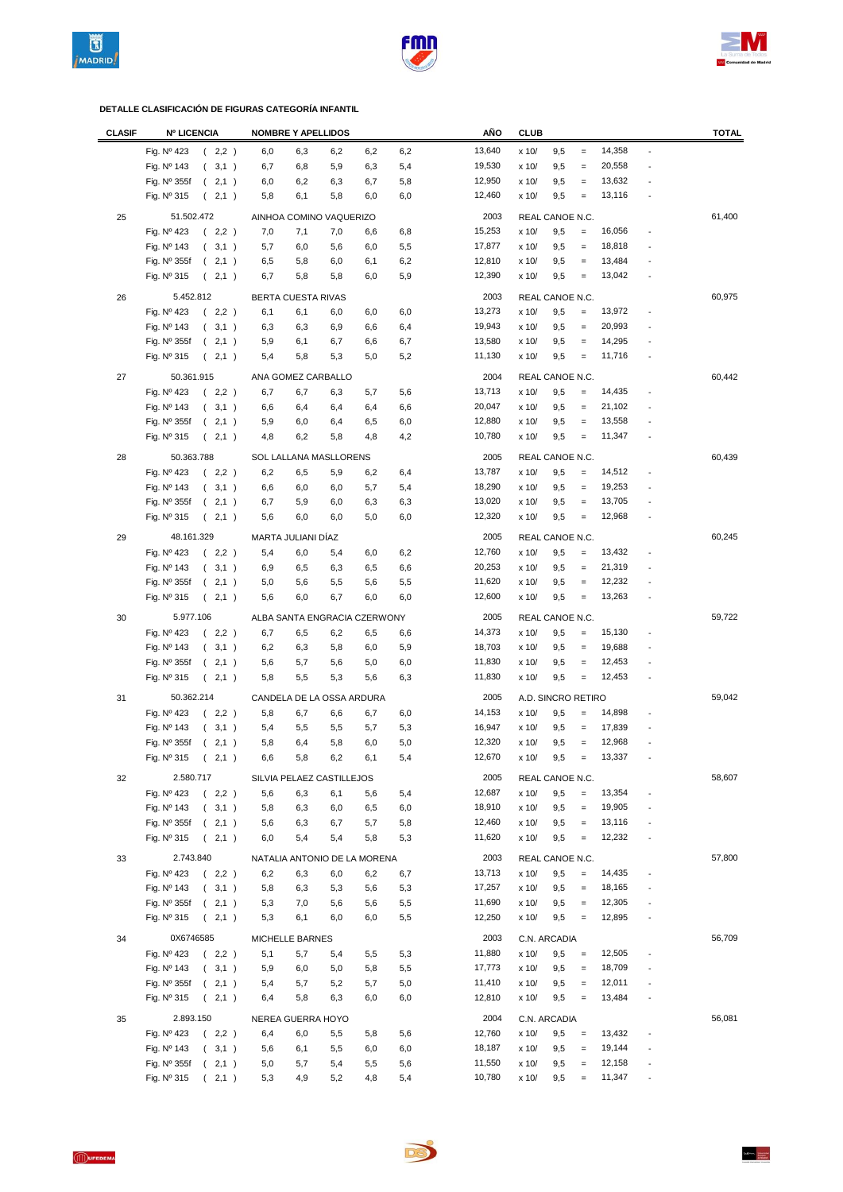





| <b>CLASIF</b> | <b>Nº LICENCIA</b>                       | <b>NOMBRE Y APELLIDOS</b>              | AÑO              | <b>CLUB</b>                                 | <b>TOTAL</b>             |
|---------------|------------------------------------------|----------------------------------------|------------------|---------------------------------------------|--------------------------|
|               | Fig. Nº 423<br>(2,2)                     | 6,0<br>6,3<br>6,2<br>6,2<br>6,2        | 13,640           | 14,358<br>x 10/<br>9,5<br>$\qquad \qquad =$ | $\overline{a}$           |
|               | Fig. Nº 143<br>(3,1)                     | 6,8<br>5,9<br>6,3<br>5,4<br>6,7        | 19,530           | 20,558<br>9,5<br>x 10/<br>$=$               |                          |
|               | Fig. Nº 355f<br>(2,1)                    | 6,2<br>6,3<br>6,7<br>5,8<br>6,0        | 12,950           | 13,632<br>x 10/<br>9,5<br>$\equiv$          | $\overline{a}$           |
|               | Fig. Nº 315<br>2,1)<br>$\left($          | 5,8<br>6,1<br>5,8<br>6,0<br>6,0        | 12,460           | 13,116<br>9,5<br>x 10/<br>$\qquad \qquad =$ | $\overline{a}$           |
| 25            | 51.502.472                               | AINHOA COMINO VAQUERIZO                | 2003             | REAL CANOE N.C.                             | 61,400                   |
|               | Fig. Nº 423<br>(2,2)                     | 7,0<br>7,1<br>7,0<br>6,6<br>6,8        | 15,253           | 16,056<br>x 10/<br>9,5<br>$\equiv$          | ÷                        |
|               | Fig. Nº 143<br>(3,1)                     | 5,5<br>5,7<br>6,0<br>5,6<br>6,0        | 17,877           | 18,818<br>9,5<br>x 10/<br>$\equiv$          |                          |
|               | Fig. Nº 355f<br>(2,1)                    | 5,8<br>6,2<br>6,5<br>6,0<br>6,1        | 12,810           | 13,484<br>x 10/<br>9,5<br>$\equiv$          | $\overline{\phantom{m}}$ |
|               | Fig. Nº 315<br>(2,1)                     | 5,9<br>6,7<br>5,8<br>5,8<br>6,0        | 12,390           | 13,042<br>x 10/<br>9,5<br>$\equiv$          |                          |
|               |                                          |                                        |                  |                                             |                          |
| 26            | 5.452.812                                | BERTA CUESTA RIVAS                     | 2003             | REAL CANOE N.C.                             | 60,975                   |
|               | Fig. Nº 423<br>(2,2)                     | 6,0<br>6,0<br>6,0<br>6,1<br>6,1        | 13,273           | 13,972<br>x 10/<br>9,5<br>$\equiv$          | $\overline{\phantom{a}}$ |
|               | Fig. Nº 143<br>(3,1)                     | 6,3<br>6,3<br>6,9<br>6,4<br>6,6        | 19,943           | 20,993<br>x 10/<br>9,5<br>$\qquad \qquad =$ |                          |
|               | Fig. Nº 355f<br>(2,1)                    | 5,9<br>6,7<br>6,1<br>6,7<br>6,6        | 13,580           | 14,295<br>x 10/<br>9,5<br>$\qquad \qquad =$ | $\overline{a}$           |
|               | Fig. Nº 315<br>(2,1)                     | 5,4<br>5,8<br>5,3<br>5,0<br>5,2        | 11,130           | 11,716<br>x 10/<br>9,5<br>$\qquad \qquad =$ | $\overline{a}$           |
| 27            | 50.361.915                               | ANA GOMEZ CARBALLO                     | 2004             | REAL CANOE N.C.                             | 60,442                   |
|               | Fig. Nº 423<br>(2,2)                     | 6,7<br>6,7<br>6,3<br>5,7<br>5,6        | 13,713           | x 10/<br>9,5<br>14,435<br>$\equiv$          |                          |
|               | Fig. Nº 143<br>(3,1)                     | 6,6<br>6,4<br>6,4<br>6,4<br>6,6        | 20,047           | x 10/<br>9,5<br>21,102<br>$\equiv$          |                          |
|               | Fig. $N^{\circ}$ 355f<br>(2,1)           | 5,9<br>6,0<br>6,4<br>6,5<br>6,0        | 12,880           | 13,558<br>9,5<br>x 10/<br>$\qquad \qquad =$ | ÷                        |
|               | Fig. Nº 315<br>(2,1)                     | 4,8<br>6,2<br>5,8<br>4,8<br>4,2        | 10,780           | 11,347<br>9,5<br>x 10/<br>$\equiv$          |                          |
| 28            | 50.363.788                               | SOL LALLANA MASLLORENS                 | 2005             | REAL CANOE N.C.                             | 60,439                   |
|               | Fig. Nº 423<br>(2,2)                     | 6,2<br>6,5<br>5,9<br>6,2<br>6,4        | 13,787           | 9,5<br>14,512<br>x 10/<br>$=$               | $\overline{\phantom{a}}$ |
|               | Fig. Nº 143<br>(3,1)                     | 6,6<br>6,0<br>6,0<br>5,7<br>5,4        | 18,290           | 19,253<br>x 10/<br>9,5<br>$=$               |                          |
|               | Fig. Nº 355f<br>(2,1)                    | 6,7<br>5,9<br>6,0<br>6,3<br>6,3        | 13,020           | 13,705<br>9,5<br>x 10/<br>$=$               |                          |
|               | Fig. $N^{\circ}$ 315<br>(2,1)            | 5,6<br>6,0<br>6,0<br>5,0<br>6,0        | 12,320           | 12,968<br>x 10/<br>9,5<br>$\qquad \qquad =$ |                          |
| 29            | 48.161.329                               | MARTA JULIANI DÍAZ                     | 2005             | REAL CANOE N.C.                             | 60,245                   |
|               | Fig. Nº 423<br>(2,2)                     | 5,4<br>6,0<br>6,2<br>5,4<br>6,0        | 12,760           | x 10/<br>9,5<br>13,432<br>$\equiv$          |                          |
|               | Fig. Nº 143<br>(3,1)                     | 6,9<br>6,5<br>6,3<br>6,5<br>6,6        | 20,253           | 21,319<br>x 10/<br>9,5<br>$\equiv$          |                          |
|               | Fig. Nº 355f<br>(2,1)                    | 5,0<br>5,6<br>5,5<br>5,6<br>5,5        | 11,620           | 12,232<br>9,5<br>x 10/<br>$\qquad \qquad =$ |                          |
|               | 2,1)<br>Fig. $N^{\circ}$ 315<br>$\left($ | 6,0<br>6,7<br>6,0<br>6,0<br>5,6        | 12,600           | 13,263<br>x 10/<br>9,5<br>$\equiv$          | $\overline{a}$           |
| 30            | 5.977.106                                | ALBA SANTA ENGRACIA CZERWONY           | 2005             | REAL CANOE N.C.                             | 59,722                   |
|               | Fig. Nº 423<br>(2,2)                     | 6,5<br>6,2<br>6,7<br>6,5               | 14,373           | x 10/<br>9,5<br>15,130<br>$=$               |                          |
|               | Fig. Nº 143<br>(3,1)                     | 6,6<br>6,2<br>6,3<br>5,8<br>6,0<br>5,9 | 18,703           | x 10/<br>9,5<br>19,688<br>$\qquad \qquad =$ | $\overline{a}$           |
|               | Fig. Nº 355f<br>(2,1)                    | 5,6<br>5,7<br>5,6<br>5,0<br>6,0        | 11,830           | x 10/<br>9,5<br>12,453<br>$\qquad \qquad =$ | $\overline{a}$           |
|               | Fig. Nº 315<br>(2,1)                     | 5,5<br>5,8<br>5,3<br>5,6<br>6,3        | 11,830           | 12,453<br>x 10/<br>9,5<br>$\qquad \qquad =$ | $\overline{a}$           |
|               |                                          |                                        |                  |                                             |                          |
| 31            | 50.362.214                               | CANDELA DE LA OSSA ARDURA              | 2005             | A.D. SINCRO RETIRO                          | 59,042                   |
|               | Fig. Nº 423<br>(2,2)                     | 5,8<br>6,7<br>6,6<br>6,7<br>6,0        | 14,153           | 14,898<br>x 10/<br>9,5<br>$=$               |                          |
|               | Fig. Nº 143<br>(3,1)                     | 5,5<br>5,5<br>5,7<br>5,4<br>5,3        | 16,947           | 17,839<br>x 10/<br>9,5<br>$=$               |                          |
|               | Fig. $N^{\circ}$ 355f<br>(2,1)           | 5,8<br>6,4<br>5,8<br>6,0<br>5,0        | 12,320           | 12,968<br>x 10/<br>9,5<br>$\qquad \qquad =$ |                          |
|               | Fig. Nº 315<br>2,1)<br>$\left($          | 5,8<br>5,4<br>6,6<br>6,2<br>6,1        | 12,670           | 13,337<br>9,5<br>x 10/                      |                          |
| 32            | 2.580.717                                | SILVIA PELAEZ CASTILLEJOS              | 2005             | REAL CANOE N.C.                             | 58,607                   |
|               | Fig. Nº 423<br>(2,2)                     | 5,6<br>6,3<br>6,1<br>5,4<br>5,6        | 12,687           | 13,354<br>x 10/<br>9,5<br>$=$               |                          |
|               | Fig. Nº 143<br>(3,1)                     | 6,3<br>6,0<br>6,5<br>6,0<br>5,8        | 18,910           | 19,905<br>9,5<br>x 10/<br>$=$               | $\overline{\phantom{a}}$ |
|               | (2,1)<br>Fig. $N^{\circ}$ 355f           | 5,6<br>6,3<br>6,7<br>5,7<br>5,8        | 12,460           | 13,116<br>x 10/<br>9,5<br>$\qquad \qquad =$ | $\overline{\phantom{a}}$ |
|               | Fig. Nº 315<br>(2,1)                     | 6,0<br>5,4<br>5,4<br>5,8<br>5,3        | 11,620           | 12,232<br>9,5<br>x 10/<br>$\qquad \qquad =$ | $\overline{a}$           |
| 33            | 2.743.840                                | NATALIA ANTONIO DE LA MORENA           | 2003             | REAL CANOE N.C.                             | 57,800                   |
|               | Fig. Nº 423<br>(2,2)                     | 6,3<br>6,0<br>6,2<br>6,2<br>6,7        | 13,713           | 14,435<br>x 10/<br>9,5<br>$\qquad \qquad =$ | $\overline{\phantom{a}}$ |
|               | Fig. Nº 143<br>(3,1)                     | 6,3<br>5,6<br>5,8<br>5,3<br>5,3        | 17,257           | 18,165<br>9,5<br>x 10/<br>$=$               | $\overline{a}$           |
|               | (2,1)<br>Fig. $N^{\circ}$ 355f           | 5,3<br>7,0<br>5,6<br>5,6<br>5,5        | 11,690           | 12,305<br>x 10/<br>9,5<br>$\qquad \qquad =$ | $\overline{a}$           |
|               | Fig. Nº 315<br>(2,1)                     | 5,3<br>6,1<br>6,0<br>6,0<br>5,5        | 12,250           | 12,895<br>9,5<br>x 10/<br>$\equiv$          | $\overline{\phantom{a}}$ |
| 34            | 0X6746585                                | MICHELLE BARNES                        | 2003             | C.N. ARCADIA                                | 56,709                   |
|               | Fig. Nº 423<br>(2,2)                     | 5,1<br>5,7<br>5,4<br>5,5<br>5,3        | 11,880           | 12,505<br>x 10/<br>9,5<br>$\equiv$          | $\overline{\phantom{a}}$ |
|               | Fig. Nº 143<br>(3,1)                     | 5,9<br>6,0<br>5,0<br>5,8<br>5,5        | 17,773           | 18,709<br>x 10/<br>9,5<br>$\equiv$          | $\overline{a}$           |
|               | Fig. Nº 355f<br>(2,1)                    | 5,2<br>5,0<br>5,4<br>5,7<br>5,7        | 11,410           | 12,011<br>x 10/<br>9,5<br>$\equiv$          | $\overline{a}$           |
|               | Fig. Nº 315<br>(2,1)                     | 6,3<br>6,4<br>5,8<br>6,0<br>6,0        | 12,810           | 13,484<br>x 10/<br>9,5<br>$\equiv$          | $\overline{a}$           |
|               |                                          |                                        |                  |                                             |                          |
| 35            | 2.893.150                                | NEREA GUERRA HOYO                      | 2004             | C.N. ARCADIA                                | 56,081                   |
|               | Fig. Nº 423<br>(2,2)                     | 6,4<br>6,0<br>5,5<br>5,6<br>5,8        | 12,760           | 13,432<br>x 10/<br>9,5<br>$\!=$             | $\overline{\phantom{a}}$ |
|               | Fig. Nº 143<br>(3,1)                     | 5,5<br>6,0<br>5,6<br>6,1<br>6,0        | 18,187<br>11,550 | 19,144<br>x 10/<br>9,5<br>$=$<br>12,158     | $\overline{a}$           |
|               | Fig. Nº 355f<br>(2,1)                    | 5,0<br>5,7<br>5,4<br>5,5<br>5,6        | 10,780           | x 10/<br>9,5<br>$\qquad \qquad =$<br>11,347 | $\overline{\phantom{a}}$ |
|               | Fig. Nº 315<br>(2,1)                     | 5,3<br>4,9<br>5,2<br>4,8<br>5,4        |                  | x 10/<br>9,5<br>$=$                         | $\centerdot$             |

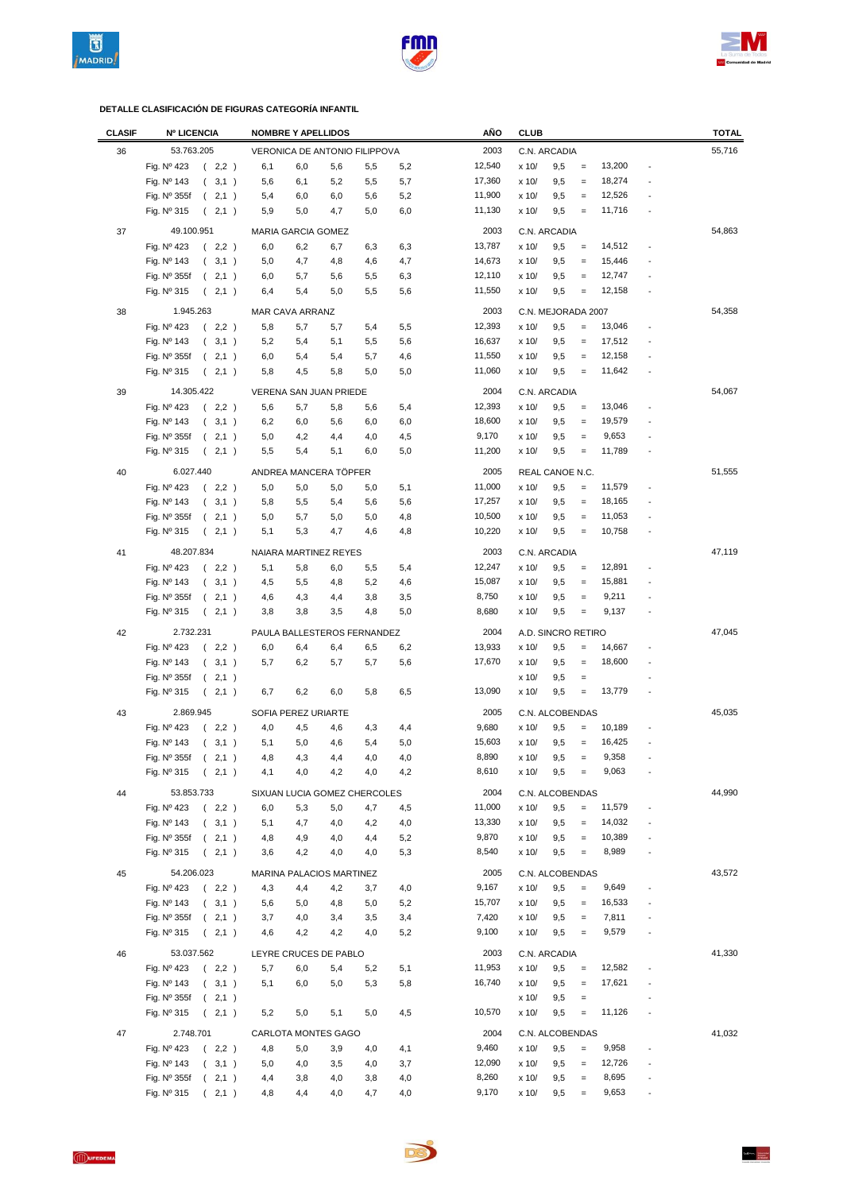





| <b>CLASIF</b> | <b>Nº LICENCIA</b>               | <b>NOMBRE Y APELLIDOS</b>     |            | AÑO    | <b>CLUB</b>                                                             | <b>TOTAL</b> |
|---------------|----------------------------------|-------------------------------|------------|--------|-------------------------------------------------------------------------|--------------|
| 36            | 53.763.205                       | VERONICA DE ANTONIO FILIPPOVA |            | 2003   | C.N. ARCADIA                                                            | 55,716       |
|               | Fig. Nº 423<br>(2,2)             | 6,1<br>6,0<br>5,6             | 5,5<br>5,2 | 12,540 | 13,200<br>x 10/<br>9,5<br>$=$                                           |              |
|               | Fig. Nº 143<br>(3,1)             | 5,2<br>5,6<br>6,1             | 5,5<br>5,7 | 17,360 | 18,274<br>9,5<br>x 10/<br>$\equiv$                                      |              |
|               | Fig. Nº 355f<br>2,1)<br>$\left($ | 5,4<br>6,0<br>6,0             | 5,6<br>5,2 | 11,900 | 12,526<br>9,5<br>x 10/<br>$\equiv$                                      |              |
|               | Fig. Nº 315<br>2,1)<br>$\left($  | 5,9<br>5,0<br>4,7             | 5,0<br>6,0 | 11,130 | 11,716<br>x 10/<br>9,5<br>$\equiv$                                      |              |
|               |                                  |                               |            |        |                                                                         |              |
| 37            | 49.100.951                       | MARIA GARCIA GOMEZ            |            | 2003   | C.N. ARCADIA                                                            | 54,863       |
|               | (2,2)<br>Fig. Nº 423             | 6,0<br>6,2<br>6,7             | 6,3<br>6,3 | 13,787 | 14,512<br>x 10/<br>9,5<br>$\equiv$                                      |              |
|               | Fig. Nº 143<br>(3,1)             | 5,0<br>4,7<br>4,8             | 4,6<br>4,7 | 14,673 | 15,446<br>x 10/<br>9,5<br>$\equiv$                                      |              |
|               | Fig. Nº 355f<br>(2,1)            | 6,0<br>5,7<br>5,6             | 5,5<br>6,3 | 12,110 | 9,5<br>12,747<br>x 10/<br>$\qquad \qquad =$                             |              |
|               | Fig. Nº 315<br>(2,1)             | 5,4<br>5,0<br>6,4             | 5,5<br>5,6 | 11,550 | 12,158<br>x 10/<br>9,5<br>$\equiv$                                      |              |
| 38            | 1.945.263                        | MAR CAVA ARRANZ               |            | 2003   | C.N. MEJORADA 2007                                                      | 54,358       |
|               | Fig. Nº 423<br>(2,2)             | 5,8<br>5,7<br>5,7             | 5,5<br>5,4 | 12,393 | 13,046<br>x 10/<br>9,5<br>$=$                                           |              |
|               | Fig. Nº 143<br>(3,1)             | 5,2<br>5,4<br>5,1             | 5,6<br>5,5 | 16,637 | 17,512<br>x 10/<br>9,5<br>$\qquad \qquad =$<br>$\overline{a}$           |              |
|               | Fig. Nº 355f<br>(2,1)            | 6,0<br>5,4<br>5,4             | 5,7<br>4,6 | 11,550 | 12,158<br>x 10/<br>9,5<br>$\equiv$<br>$\overline{a}$                    |              |
|               | Fig. Nº 315<br>(2,1)             | 4,5<br>5,8<br>5,8             | 5,0<br>5,0 | 11,060 | 11,642<br>9,5<br>x 10/<br>$\equiv$<br>Ĭ.                                |              |
|               |                                  |                               |            |        |                                                                         |              |
| 39            | 14.305.422                       | VERENA SAN JUAN PRIEDE        |            | 2004   | C.N. ARCADIA                                                            | 54,067       |
|               | Fig. Nº 423<br>(2,2)             | 5,7<br>5,6<br>5,8             | 5,6<br>5,4 | 12,393 | x 10/<br>9,5<br>13,046<br>$\quad \  \, =$                               |              |
|               | Fig. Nº 143<br>(3,1)             | 6,2<br>6,0<br>5,6             | 6,0<br>6,0 | 18,600 | 19,579<br>x 10/<br>9,5<br>$\qquad \qquad =$                             |              |
|               | Fig. Nº 355f<br>(2,1)            | 5,0<br>4,2<br>4,4             | 4,0<br>4,5 | 9,170  | 9,653<br>9,5<br>x 10/<br>$=$                                            |              |
|               | Fig. Nº 315<br>2,1)<br>$\left($  | 5,5<br>5,4<br>5,1             | 6,0<br>5,0 | 11,200 | 9,5<br>11,789<br>x 10/<br>$=$                                           |              |
| 40            | 6.027.440                        | ANDREA MANCERA TÖPFER         |            | 2005   | REAL CANOE N.C.                                                         | 51,555       |
|               | Fig. Nº 423<br>(2,2)             | 5,0<br>5,0<br>5,0             | 5,0<br>5,1 | 11,000 | 9,5<br>11,579<br>x 10/<br>$\qquad \qquad =$                             |              |
|               | Fig. Nº 143<br>(3,1)             | 5,5<br>5,8<br>5,4             | 5,6<br>5,6 | 17,257 | 9,5<br>18,165<br>x 10/<br>$=$                                           |              |
|               | Fig. Nº 355f<br>(2,1)            | 5,0<br>5,7<br>5,0             | 4,8<br>5,0 | 10,500 | 11,053<br>9,5<br>$\qquad \qquad =$<br>x 10/                             |              |
|               | Fig. Nº 315<br>(2,1)             | 4,7<br>5,1<br>5,3             | 4,6<br>4,8 | 10,220 | 10,758<br>x 10/<br>9,5<br>$\qquad \qquad =$                             |              |
|               |                                  |                               |            |        |                                                                         |              |
| 41            | 48.207.834                       | NAIARA MARTINEZ REYES         |            | 2003   | C.N. ARCADIA                                                            | 47,119       |
|               | Fig. Nº 423<br>(2,2)             | 5,1<br>5,8<br>6,0             | 5,5<br>5,4 | 12,247 | 12,891<br>x 10/<br>9,5<br>$\equiv$<br>÷                                 |              |
|               | Fig. Nº 143<br>(3,1)             | 5,5<br>4,5<br>4,8             | 5,2<br>4,6 | 15,087 | 15,881<br>9,5<br>x 10/<br>$\qquad \qquad =$                             |              |
|               | Fig. Nº 355f<br>(2,1)            | 4,6<br>4,3<br>4,4             | 3,8<br>3,5 | 8,750  | 9,211<br>9,5<br>x 10/<br>$=$                                            |              |
|               | Fig. Nº 315<br>2,1)<br>$\left($  | 3,5<br>3,8<br>3,8             | 4,8<br>5,0 | 8,680  | 9,137<br>x 10/<br>9,5<br>$\qquad \qquad =$<br>Ĭ.                        |              |
| 42            | 2.732.231                        | PAULA BALLESTEROS FERNANDEZ   |            | 2004   | A.D. SINCRO RETIRO                                                      | 47,045       |
|               | Fig. Nº 423<br>(2,2)             | 6,0<br>6,4<br>6,4             | 6,5<br>6,2 | 13,933 | x 10/<br>9,5<br>14,667<br>$=$                                           |              |
|               | Fig. Nº 143<br>(3,1)             | 5,7<br>6,2<br>5,7             | 5,7<br>5,6 | 17,670 | x 10/<br>9,5<br>18,600<br>$\equiv$<br>$\overline{a}$                    |              |
|               | Fig. Nº 355f<br>(2,1)            |                               |            |        | x 10/<br>9,5<br>$\qquad \qquad =$                                       |              |
|               | Fig. Nº 315<br>(2,1)             | 6,2<br>6,0<br>6,7             | 5,8<br>6,5 | 13,090 | x 10/<br>9,5<br>$\equiv$<br>13,779                                      |              |
|               |                                  |                               |            |        |                                                                         |              |
| 43            | 2.869.945                        | SOFIA PEREZ URIARTE           |            | 2005   | C.N. ALCOBENDAS                                                         | 45,035       |
|               | Fig. Nº 423<br>(2,2)             | 4,0<br>4,5<br>4,6             | 4,3<br>4,4 | 9,680  | x 10/<br>9,5<br>10,189<br>$=$                                           |              |
|               | Fig. Nº 143<br>(3,1)             | 5,0<br>5,1<br>4,6             | 5,4<br>5,0 | 15,603 | 9,5<br>16,425<br>x 10/<br>$=$                                           |              |
|               | Fig. Nº 355f<br>(2,1)            | 4,8<br>4,3<br>4,4             | 4,0<br>4,0 | 8,890  | 9,5<br>9,358<br>x 10/                                                   |              |
|               | Fig. Nº 315<br>(2,1)             | 4,0<br>4,2<br>4,1             | 4,0<br>4,2 | 8,610  | x 10/<br>9,5<br>9,063<br>$=$                                            |              |
| 44            | 53.853.733                       | SIXUAN LUCIA GOMEZ CHERCOLES  |            | 2004   | C.N. ALCOBENDAS                                                         | 44,990       |
|               | Fig. Nº 423<br>(2,2)             | 5,3<br>5,0<br>6,0             | 4,7<br>4,5 | 11,000 | 11,579<br>x 10/<br>9,5<br>$=$<br>$\overline{\phantom{m}}$               |              |
|               | Fig. Nº 143<br>(3,1)             | 5,1<br>4,7<br>4,0             | 4,2<br>4,0 | 13,330 | 14,032<br>x 10/<br>9,5<br>$=$<br>$\overline{\phantom{m}}$               |              |
|               | Fig. Nº 355f<br>(2,1)            | 4,8<br>4,9<br>4,0             | 4,4<br>5,2 | 9,870  | 10,389<br>x 10/<br>9,5<br>$=$<br>$\overline{\phantom{a}}$               |              |
|               | Fig. Nº 315<br>(2,1)             | 3,6<br>4,2<br>4,0             | 4,0<br>5,3 | 8,540  | 8,989<br>9,5<br>x 10/<br>$=$                                            |              |
|               |                                  |                               |            |        |                                                                         |              |
| 45            | 54.206.023                       | MARINA PALACIOS MARTINEZ      |            | 2005   | C.N. ALCOBENDAS                                                         | 43,572       |
|               | Fig. Nº 423<br>(2,2)             | 4,3<br>4,4<br>4,2             | 4,0<br>3,7 | 9,167  | 9,649<br>x 10/<br>9,5<br>$=$<br>$\overline{a}$                          |              |
|               | Fig. Nº 143<br>(3,1)             | 4,8<br>5,6<br>5,0             | 5,0<br>5,2 | 15,707 | 16,533<br>x 10/<br>9,5<br>$\qquad \qquad =$<br>÷                        |              |
|               | Fig. Nº 355f<br>(2,1)            | 3,7<br>4,0<br>3,4             | 3,5<br>3,4 | 7,420  | 7,811<br>9,5<br>x 10/<br>$\equiv$<br>$\overline{a}$                     |              |
|               | Fig. Nº 315<br>(2,1)             | 4,2<br>4,6<br>4,2             | 4,0<br>5,2 | 9,100  | 9,579<br>x 10/<br>9,5<br>$\qquad \qquad =$                              |              |
| 46            | 53.037.562                       | LEYRE CRUCES DE PABLO         |            | 2003   | C.N. ARCADIA                                                            | 41,330       |
|               | (2,2)<br>Fig. Nº 423             | 5,7<br>6,0<br>5,4             | 5,1<br>5,2 | 11,953 | 12,582<br>x 10/<br>9,5<br>$\equiv$<br>$\overline{a}$                    |              |
|               | Fig. Nº 143<br>(3,1)             | 5,1<br>6,0<br>5,0             | 5,3<br>5,8 | 16,740 | 17,621<br>x 10/<br>9,5<br>$\qquad \qquad =$                             |              |
|               | Fig. Nº 355f<br>(2,1)            |                               |            |        | x 10/<br>9,5<br>$\qquad \qquad =$<br>÷                                  |              |
|               | Fig. Nº 315<br>(2,1)             | 5,2<br>5,0<br>5,1             | 5,0<br>4,5 | 10,570 | 11,126<br>x 10/<br>9,5<br>$\qquad \qquad =$<br>$\overline{\phantom{a}}$ |              |
|               |                                  |                               |            |        |                                                                         |              |
| 47            | 2.748.701                        | CARLOTA MONTES GAGO           |            | 2004   | C.N. ALCOBENDAS                                                         | 41,032       |
|               | Fig. Nº 423<br>(2,2)             | 4,8<br>5,0<br>3,9             | 4,0<br>4,1 | 9,460  | 9,958<br>x 10/<br>9,5<br>$=$                                            |              |
|               | Fig. Nº 143<br>(3,1)             | 4,0<br>3,5<br>5,0             | 4,0<br>3,7 | 12,090 | 12,726<br>x 10/<br>9,5<br>$\qquad \qquad =$<br>$\overline{a}$           |              |
|               | Fig. Nº 355f<br>(2,1)            | 4,4<br>3,8<br>4,0             | 3,8<br>4,0 | 8,260  | 8,695<br>9,5<br>$=$<br>x 10/<br>$\overline{\phantom{a}}$                |              |
|               | Fig. Nº 315<br>(2,1)             | 4,8<br>4,4<br>4,0             | 4,7<br>4,0 | 9,170  | 9,653<br>x 10/<br>9,5<br>$\qquad \qquad =$<br>$\frac{1}{2}$             |              |

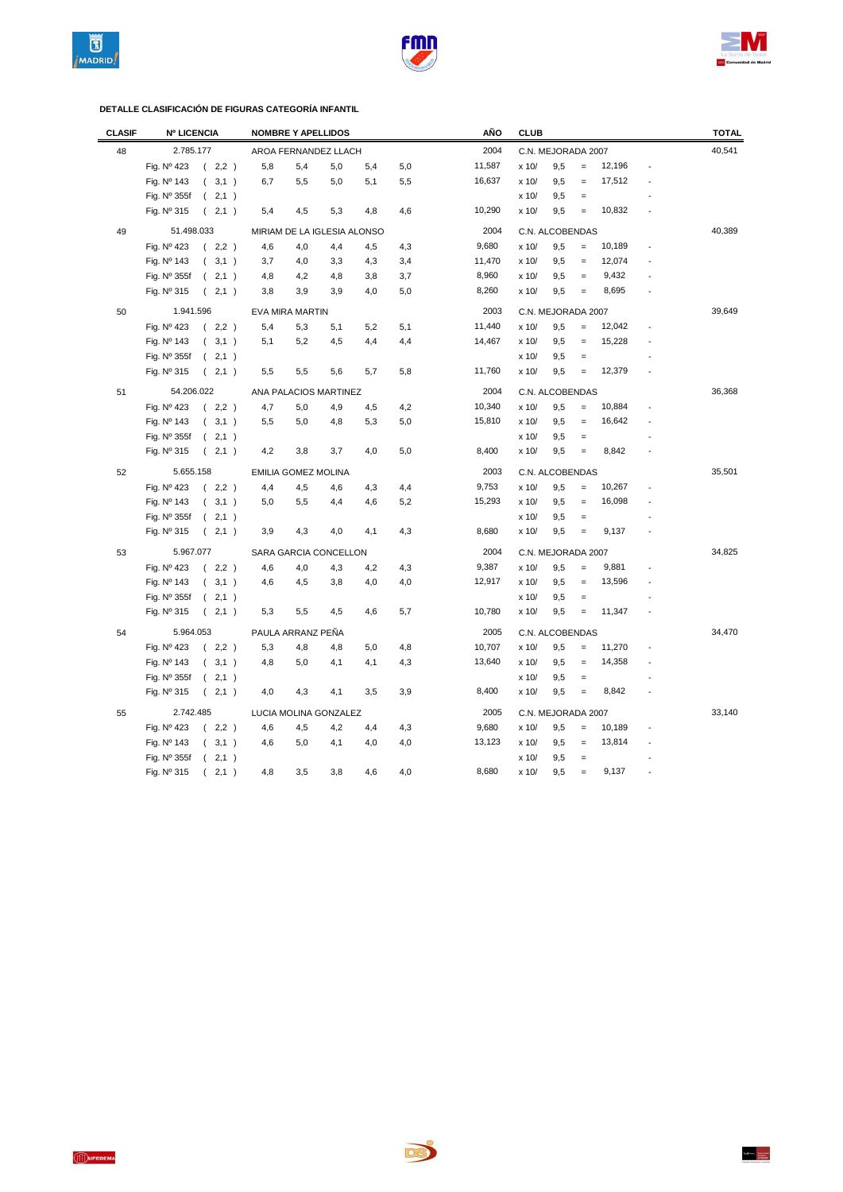





| <b>CLASIF</b> | <b>Nº LICENCIA</b>   |                  |       |     | <b>NOMBRE Y APELLIDOS</b>   |     |     |     | AÑO    | <b>CLUB</b>        |                    |                   |        |                | <b>TOTAL</b> |
|---------------|----------------------|------------------|-------|-----|-----------------------------|-----|-----|-----|--------|--------------------|--------------------|-------------------|--------|----------------|--------------|
| 48            | 2.785.177            |                  |       |     | AROA FERNANDEZ LLACH        |     |     |     | 2004   |                    | C.N. MEJORADA 2007 |                   |        |                | 40,541       |
|               | Fig. Nº 423          |                  | (2,2) | 5,8 | 5,4                         | 5,0 | 5,4 | 5,0 | 11,587 | x 10/              | 9,5                | $=$               | 12,196 |                |              |
|               | Fig. Nº 143          | (                | 3,1)  | 6,7 | 5,5                         | 5,0 | 5,1 | 5,5 | 16,637 | x 10/              | 9,5                | $\qquad \qquad =$ | 17,512 |                |              |
|               | Fig. Nº 355f         | $\left($         | 2,1)  |     |                             |     |     |     |        | x 10/              | 9,5                | $\qquad \qquad =$ |        |                |              |
|               | Fig. $N^{\circ}$ 315 | $\left($         | 2,1)  | 5,4 | 4,5                         | 5,3 | 4,8 | 4,6 | 10,290 | x 10/              | 9,5                | $=$               | 10,832 | $\overline{a}$ |              |
| 49            | 51.498.033           |                  |       |     | MIRIAM DE LA IGLESIA ALONSO |     |     |     | 2004   |                    | C.N. ALCOBENDAS    |                   |        |                | 40,389       |
|               | Fig. Nº 423          |                  | (2,2) | 4,6 | 4,0                         | 4,4 | 4,5 | 4,3 | 9,680  | x 10/              | 9,5                | $=$               | 10,189 |                |              |
|               | Fig. Nº 143          | $\overline{(\ }$ | 3,1)  | 3,7 | 4,0                         | 3,3 | 4,3 | 3,4 | 11,470 | x 10/              | 9,5                | $\equiv$          | 12,074 |                |              |
|               | Fig. Nº 355f         |                  | (2,1) | 4,8 | 4,2                         | 4,8 | 3,8 | 3,7 | 8,960  | x 10/              | 9,5                | $\qquad \qquad =$ | 9,432  |                |              |
|               | Fig. Nº 315          |                  | 2,1)  | 3,8 | 3,9                         | 3,9 | 4,0 | 5,0 | 8,260  | x 10/              | 9,5                | $\qquad \qquad =$ | 8,695  |                |              |
| 50            | 1.941.596            |                  |       |     | <b>EVA MIRA MARTIN</b>      |     |     |     | 2003   |                    | C.N. MEJORADA 2007 |                   |        |                | 39,649       |
|               | Fig. Nº 423          |                  | (2,2) | 5,4 | 5,3                         | 5,1 | 5,2 | 5,1 | 11,440 | x 10/              | 9,5                | $=$               | 12,042 |                |              |
|               | Fig. Nº 143          | $\overline{(\ }$ | 3,1)  | 5,1 | 5,2                         | 4,5 | 4,4 | 4,4 | 14,467 | x 10/              | 9,5                | $=$               | 15,228 |                |              |
|               | Fig. Nº 355f         | (                | 2,1)  |     |                             |     |     |     |        | x 10/              | 9,5                | $\equiv$          |        |                |              |
|               | Fig. Nº 315          |                  | (2,1) | 5,5 | 5,5                         | 5,6 | 5,7 | 5,8 | 11,760 | x 10/              | 9,5                | $=$               | 12,379 |                |              |
| 51            | 54.206.022           |                  |       |     | ANA PALACIOS MARTINEZ       |     |     |     | 2004   |                    | C.N. ALCOBENDAS    |                   |        |                | 36,368       |
|               | Fig. Nº 423          |                  | (2,2) | 4,7 | 5,0                         | 4,9 | 4,5 | 4,2 | 10,340 | x 10/              | 9,5                | $\qquad \qquad =$ | 10,884 |                |              |
|               | Fig. Nº 143          | (                | 3,1)  | 5,5 | 5,0                         | 4,8 | 5,3 | 5,0 | 15,810 | x 10/              | 9,5                | $\qquad \qquad =$ | 16,642 |                |              |
|               | Fig. Nº 355f         | (                | 2,1)  |     |                             |     |     |     |        | x 10/              | 9,5                | $\qquad \qquad =$ |        |                |              |
|               | Fig. $N^{\circ}$ 315 |                  | (2,1) | 4,2 | 3,8                         | 3,7 | 4,0 | 5,0 | 8,400  | x 10/              | 9,5                | $=$               | 8,842  |                |              |
|               |                      |                  |       |     |                             |     |     |     |        |                    |                    |                   |        |                |              |
| 52            | 5.655.158            |                  |       |     | <b>EMILIA GOMEZ MOLINA</b>  |     |     |     | 2003   |                    | C.N. ALCOBENDAS    |                   |        |                | 35,501       |
|               | Fig. Nº 423          |                  | (2,2) | 4,4 | 4,5                         | 4,6 | 4,3 | 4,4 | 9,753  | x 10/              | 9,5                | $\qquad \qquad =$ | 10,267 |                |              |
|               | Fig. Nº 143          | (                | 3,1)  | 5,0 | 5,5                         | 4,4 | 4,6 | 5,2 | 15,293 | x 10/              | 9,5                | $\qquad \qquad =$ | 16,098 |                |              |
|               | Fig. Nº 355f         |                  | 2,1)  |     |                             |     |     |     |        | x 10/              | 9,5                | $\qquad \qquad =$ |        |                |              |
|               | Fig. $N^{\circ}$ 315 | (                | 2,1)  | 3,9 | 4,3                         | 4,0 | 4,1 | 4,3 | 8,680  | x 10/              | 9,5                | $=$               | 9,137  |                |              |
| 53            | 5.967.077            |                  |       |     | SARA GARCIA CONCELLON       |     |     |     | 2004   |                    | C.N. MEJORADA 2007 |                   |        |                | 34,825       |
|               | Fig. Nº 423          | (                | 2,2)  | 4,6 | 4,0                         | 4,3 | 4,2 | 4,3 | 9,387  | x 10/              | 9,5                | $\qquad \qquad =$ | 9,881  |                |              |
|               | Fig. Nº 143          |                  | (3,1) | 4,6 | 4,5                         | 3,8 | 4,0 | 4,0 | 12,917 | x 10/              | 9,5                | $\qquad \qquad =$ | 13,596 |                |              |
|               | Fig. Nº 355f         |                  | 2,1)  |     |                             |     |     |     |        | x 10/              | 9,5                | $\qquad \qquad =$ |        |                |              |
|               | Fig. Nº 315          | (                | 2,1)  | 5,3 | 5,5                         | 4,5 | 4,6 | 5,7 | 10,780 | x 10/              | 9,5                | $\equiv$          | 11,347 | $\overline{a}$ |              |
| 54            | 5.964.053            |                  |       |     | PAULA ARRANZ PEÑA           |     |     |     | 2005   | C.N. ALCOBENDAS    |                    |                   |        |                | 34,470       |
|               | Fig. Nº 423          | $\left($         | 2,2)  | 5,3 | 4,8                         | 4,8 | 5,0 | 4,8 | 10,707 | x 10/              | 9,5                | $\qquad \qquad =$ | 11,270 |                |              |
|               | Fig. Nº 143          |                  | (3,1) | 4,8 | 5,0                         | 4,1 | 4,1 | 4,3 | 13,640 | x 10/              | 9,5                | $\qquad \qquad =$ | 14,358 |                |              |
|               | Fig. Nº 355f         | (                | 2,1)  |     |                             |     |     |     |        | x 10/              | 9,5                | $=$               |        |                |              |
|               | Fig. Nº 315          | (                | 2,1)  | 4,0 | 4,3                         | 4,1 | 3,5 | 3,9 | 8,400  | x 10/              | 9,5                | $\equiv$          | 8,842  | $\overline{a}$ |              |
| 55            | 2.742.485            |                  |       |     | LUCIA MOLINA GONZALEZ       |     |     |     | 2005   | C.N. MEJORADA 2007 |                    |                   |        |                | 33,140       |
|               | Fig. Nº 423          | $\left($         | 2,2)  | 4,6 | 4,5                         | 4,2 | 4,4 | 4,3 | 9,680  | x 10/              | 9,5                | $\qquad \qquad =$ | 10,189 |                |              |
|               | Fig. Nº 143          | (                | 3,1)  | 4,6 | 5,0                         | 4,1 | 4,0 | 4,0 | 13,123 | x 10/              | 9,5                | $\equiv$          | 13,814 |                |              |
|               | Fig. Nº 355f         |                  | 2,1)  |     |                             |     |     |     |        | x 10/              | 9,5                | $\qquad \qquad =$ |        |                |              |
|               | Fig. Nº 315          | (                | 2,1)  | 4,8 | 3,5                         | 3,8 | 4,6 | 4,0 | 8,680  | x 10/              | 9,5                | $=$               | 9,137  |                |              |

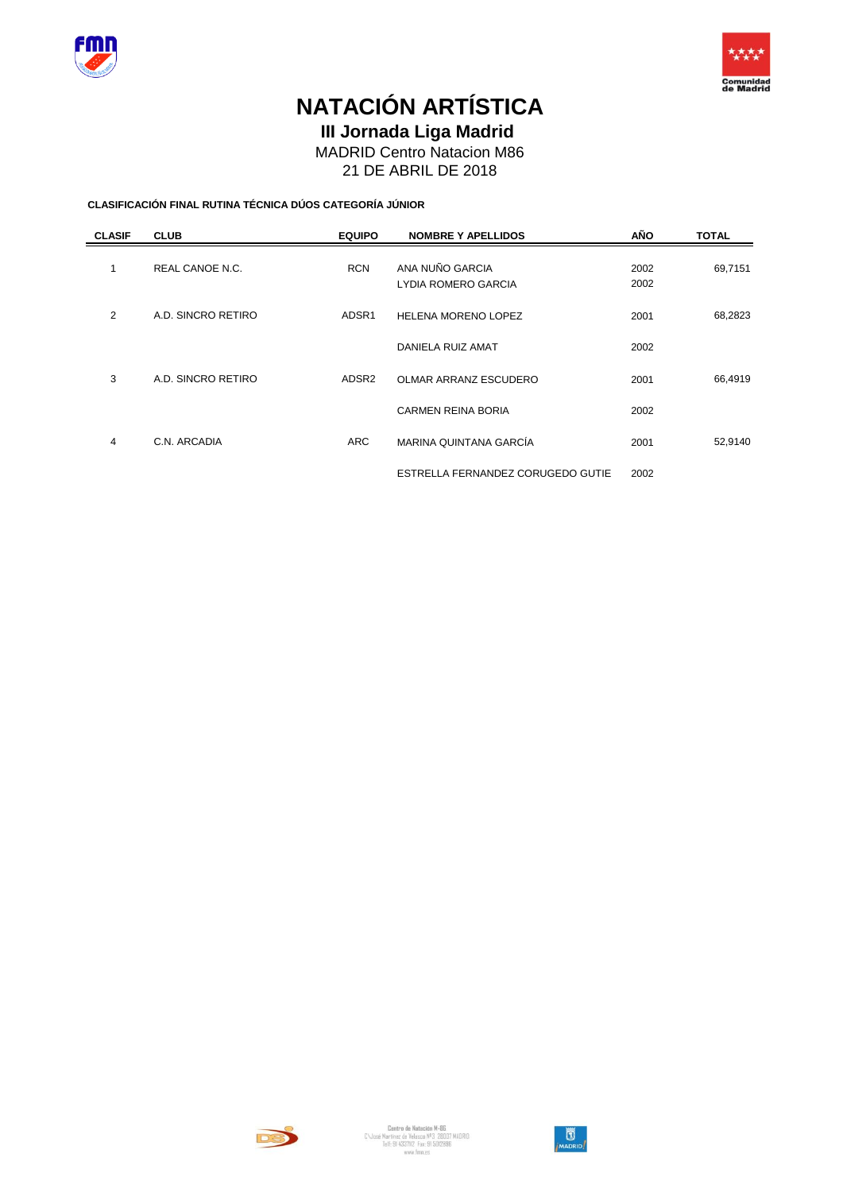



**III Jornada Liga Madrid** 

MADRID Centro Natacion M86

21 DE ABRIL DE 2018

**CLASIFICACIÓN FINAL RUTINA TÉCNICA DÚOS CATEGORÍA JÚNIOR**

| <b>CLASIF</b> | <b>CLUB</b>        | <b>EQUIPO</b>     | <b>NOMBRE Y APELLIDOS</b>              | AÑO          | <b>TOTAL</b> |
|---------------|--------------------|-------------------|----------------------------------------|--------------|--------------|
| 1             | REAL CANOE N.C.    | <b>RCN</b>        | ANA NUÑO GARCIA<br>LYDIA ROMERO GARCIA | 2002<br>2002 | 69,7151      |
| 2             | A.D. SINCRO RETIRO | ADSR1             | <b>HELENA MORENO LOPEZ</b>             | 2001         | 68,2823      |
|               |                    |                   | DANIELA RUIZ AMAT                      | 2002         |              |
| 3             | A.D. SINCRO RETIRO | ADSR <sub>2</sub> | <b>OLMAR ARRANZ ESCUDERO</b>           | 2001         | 66,4919      |
|               |                    |                   | <b>CARMEN REINA BORIA</b>              | 2002         |              |
| 4             | C.N. ARCADIA       | <b>ARC</b>        | MARINA QUINTANA GARCÍA                 | 2001         | 52,9140      |
|               |                    |                   | ESTRELLA FERNANDEZ CORUGEDO GUTIE      | 2002         |              |



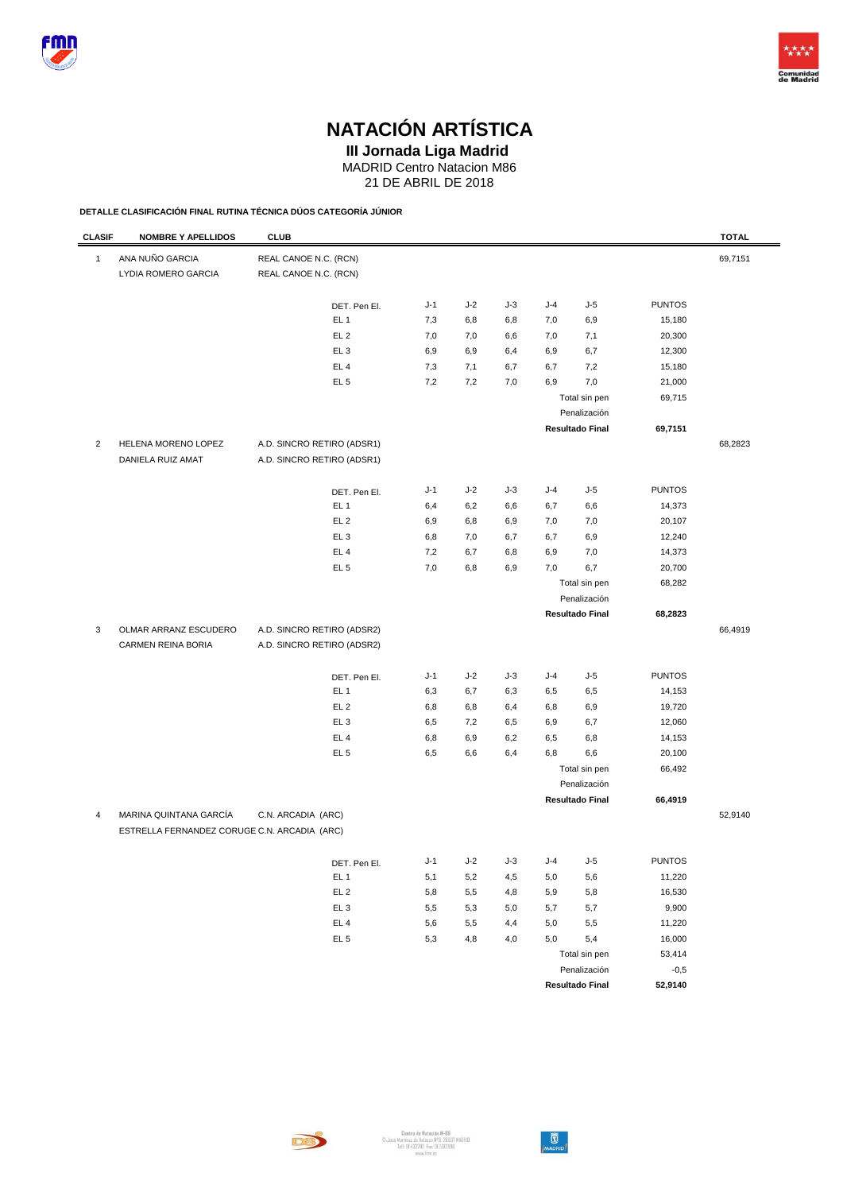



**III Jornada Liga Madrid** 

MADRID Centro Natacion M86

21 DE ABRIL DE 2018

**DETALLE CLASIFICACIÓN FINAL RUTINA TÉCNICA DÚOS CATEGORÍA JÚNIOR**

| <b>CLASIF</b>  | <b>NOMBRE Y APELLIDOS</b>                                              | <b>CLUB</b>                |                 |       |       |       |     |                        |               | <b>TOTAL</b> |
|----------------|------------------------------------------------------------------------|----------------------------|-----------------|-------|-------|-------|-----|------------------------|---------------|--------------|
| $\mathbf{1}$   | ANA NUÑO GARCIA                                                        | REAL CANOE N.C. (RCN)      |                 |       |       |       |     |                        |               | 69,7151      |
|                | LYDIA ROMERO GARCIA                                                    | REAL CANOE N.C. (RCN)      |                 |       |       |       |     |                        |               |              |
|                |                                                                        |                            | DET. Pen El.    | $J-1$ | $J-2$ | J-3   | J-4 | $J-5$                  | <b>PUNTOS</b> |              |
|                |                                                                        |                            | EL <sub>1</sub> | 7,3   | 6,8   | 6,8   | 7,0 | 6,9                    | 15,180        |              |
|                |                                                                        |                            | EL <sub>2</sub> | 7,0   | 7,0   | 6,6   | 7,0 | 7,1                    | 20,300        |              |
|                |                                                                        |                            | EL <sub>3</sub> | 6,9   | 6,9   | 6,4   | 6,9 | 6,7                    | 12,300        |              |
|                |                                                                        |                            | EL <sub>4</sub> | 7,3   | 7,1   | 6,7   | 6,7 | 7,2                    | 15,180        |              |
|                |                                                                        |                            | EL <sub>5</sub> | 7,2   | 7,2   | 7,0   | 6,9 | 7,0                    | 21,000        |              |
|                |                                                                        |                            |                 |       |       |       |     | Total sin pen          | 69,715        |              |
|                |                                                                        |                            |                 |       |       |       |     | Penalización           |               |              |
|                |                                                                        |                            |                 |       |       |       |     | <b>Resultado Final</b> | 69,7151       |              |
| $\overline{2}$ | HELENA MORENO LOPEZ                                                    | A.D. SINCRO RETIRO (ADSR1) |                 |       |       |       |     |                        |               | 68,2823      |
|                | DANIELA RUIZ AMAT                                                      | A.D. SINCRO RETIRO (ADSR1) |                 |       |       |       |     |                        |               |              |
|                |                                                                        |                            | DET. Pen El.    | $J-1$ | $J-2$ | $J-3$ | J-4 | $J-5$                  | <b>PUNTOS</b> |              |
|                |                                                                        |                            | EL <sub>1</sub> | 6,4   | 6,2   | 6,6   | 6,7 | 6,6                    | 14,373        |              |
|                |                                                                        |                            | EL <sub>2</sub> | 6,9   | 6,8   | 6,9   | 7,0 | 7,0                    | 20,107        |              |
|                |                                                                        |                            | EL <sub>3</sub> | 6,8   | 7,0   | 6,7   | 6,7 | 6,9                    | 12,240        |              |
|                |                                                                        |                            | EL <sub>4</sub> | 7,2   | 6,7   | 6,8   | 6,9 | 7,0                    | 14,373        |              |
|                |                                                                        |                            | EL <sub>5</sub> | 7,0   | 6,8   | 6,9   | 7,0 | 6,7                    | 20,700        |              |
|                |                                                                        |                            |                 |       |       |       |     | Total sin pen          | 68,282        |              |
|                |                                                                        |                            |                 |       |       |       |     | Penalización           |               |              |
|                |                                                                        |                            |                 |       |       |       |     | <b>Resultado Final</b> | 68,2823       |              |
| 3              | OLMAR ARRANZ ESCUDERO                                                  | A.D. SINCRO RETIRO (ADSR2) |                 |       |       |       |     |                        |               | 66,4919      |
|                | CARMEN REINA BORIA                                                     | A.D. SINCRO RETIRO (ADSR2) |                 |       |       |       |     |                        |               |              |
|                |                                                                        |                            | DET. Pen El.    | J-1   | $J-2$ | $J-3$ | J-4 | $J-5$                  | <b>PUNTOS</b> |              |
|                |                                                                        |                            | EL <sub>1</sub> | 6,3   | 6,7   | 6,3   | 6,5 | 6,5                    | 14,153        |              |
|                |                                                                        |                            | EL <sub>2</sub> | 6,8   | 6,8   | 6,4   | 6,8 | 6,9                    | 19,720        |              |
|                |                                                                        |                            | EL <sub>3</sub> | 6,5   | 7,2   | 6,5   | 6,9 | 6,7                    | 12,060        |              |
|                |                                                                        |                            | EL <sub>4</sub> | 6,8   | 6,9   | 6,2   | 6,5 | 6,8                    | 14,153        |              |
|                |                                                                        |                            | EL <sub>5</sub> | 6,5   | 6,6   | 6,4   | 6,8 | 6,6                    | 20,100        |              |
|                |                                                                        |                            |                 |       |       |       |     | Total sin pen          | 66,492        |              |
|                |                                                                        |                            |                 |       |       |       |     | Penalización           |               |              |
|                |                                                                        |                            |                 |       |       |       |     | <b>Resultado Final</b> | 66,4919       |              |
| $\overline{4}$ | MARINA QUINTANA GARCÍA<br>ESTRELLA FERNANDEZ CORUGE C.N. ARCADIA (ARC) | C.N. ARCADIA (ARC)         |                 |       |       |       |     |                        |               | 52,9140      |
|                |                                                                        |                            | DET. Pen El.    | $J-1$ | $J-2$ | $J-3$ | J-4 | $J-5$                  | <b>PUNTOS</b> |              |
|                |                                                                        |                            | EL <sub>1</sub> | 5,1   | 5,2   | 4,5   | 5,0 | 5,6                    | 11,220        |              |
|                |                                                                        |                            | EL <sub>2</sub> | 5,8   | 5,5   | 4,8   | 5,9 | 5,8                    | 16,530        |              |
|                |                                                                        |                            | EL <sub>3</sub> | 5,5   | 5,3   | 5,0   | 5,7 | 5,7                    | 9,900         |              |
|                |                                                                        |                            | EL <sub>4</sub> | 5,6   | 5,5   | 4,4   | 5,0 | 5,5                    | 11,220        |              |
|                |                                                                        |                            | EL <sub>5</sub> | 5,3   | 4,8   | 4,0   | 5,0 | 5,4                    | 16,000        |              |
|                |                                                                        |                            |                 |       |       |       |     | Total sin pen          | 53,414        |              |
|                |                                                                        |                            |                 |       |       |       |     | Penalización           | $-0,5$        |              |
|                |                                                                        |                            |                 |       |       |       |     | <b>Resultado Final</b> | 52,9140       |              |
|                |                                                                        |                            |                 |       |       |       |     |                        |               |              |

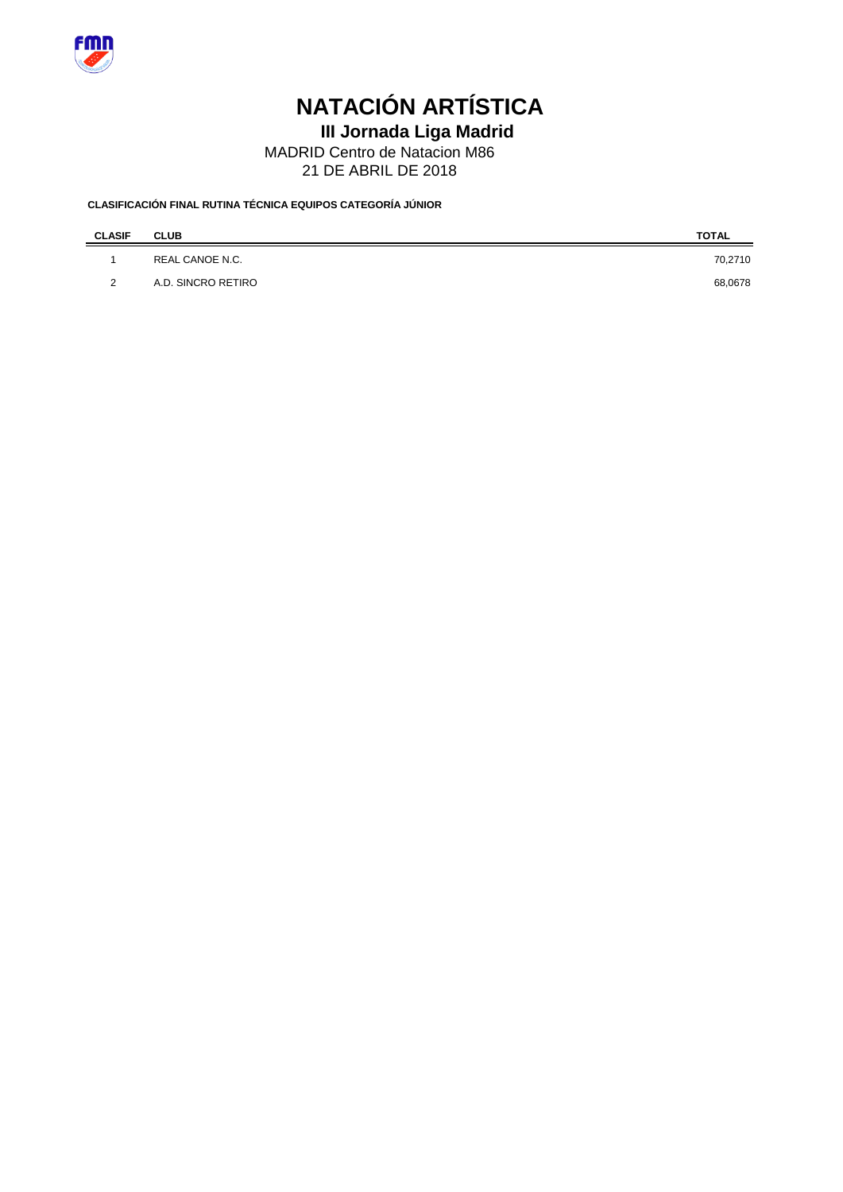

**III Jornada Liga Madrid** 

MADRID Centro de Natacion M86

21 DE ABRIL DE 2018

### **CLASIFICACIÓN FINAL RUTINA TÉCNICA EQUIPOS CATEGORÍA JÚNIOR**

| <b>CLASIF</b> | <b>CLUB</b>        | <b>TOTAL</b> |
|---------------|--------------------|--------------|
|               | REAL CANOE N.C.    | 70,2710      |
| 2             | A.D. SINCRO RETIRO | 68,0678      |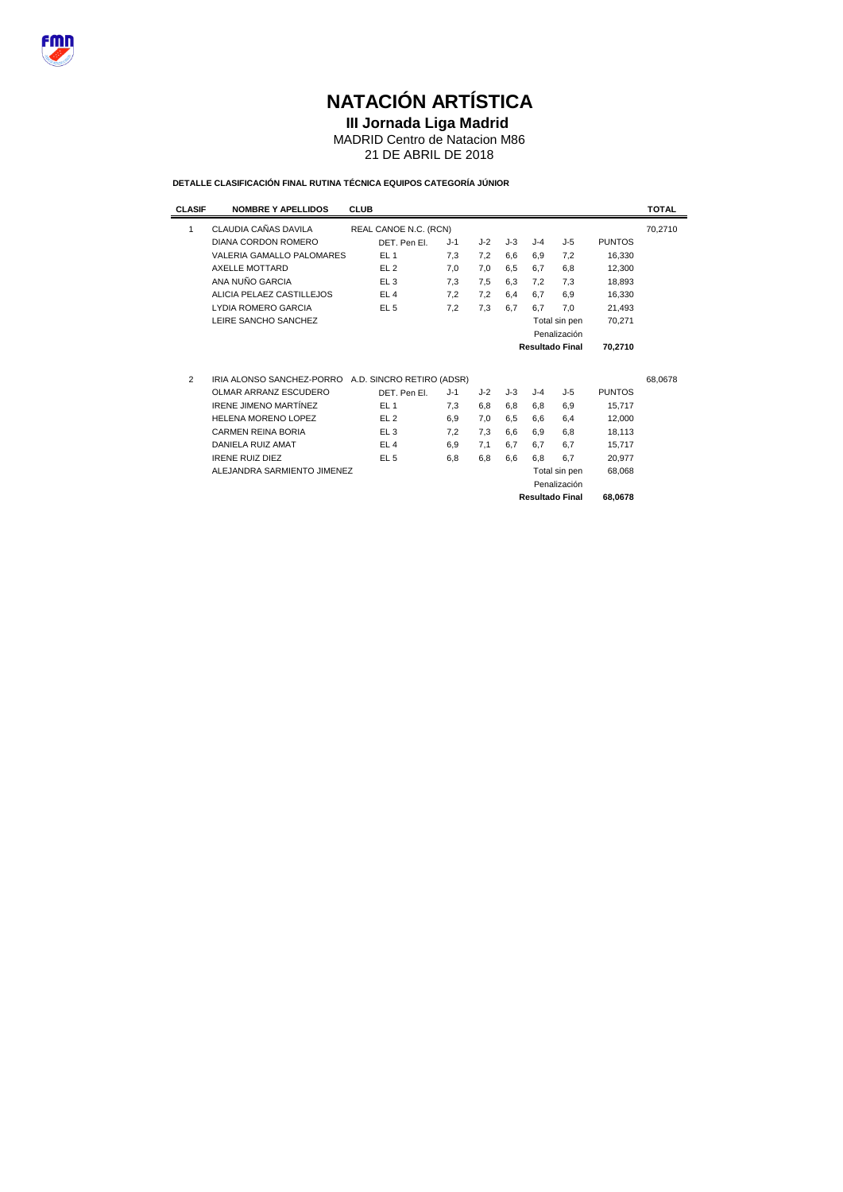

### **III Jornada Liga Madrid**

MADRID Centro de Natacion M86

21 DE ABRIL DE 2018

### **DETALLE CLASIFICACIÓN FINAL RUTINA TÉCNICA EQUIPOS CATEGORÍA JÚNIOR**

| <b>CLASIF</b>  | <b>NOMBRE Y APELLIDOS</b>    | <b>CLUB</b>               |       |       |       |       |                        |               | <b>TOTAL</b> |
|----------------|------------------------------|---------------------------|-------|-------|-------|-------|------------------------|---------------|--------------|
| 1              | CLAUDIA CAÑAS DAVILA         | REAL CANOE N.C. (RCN)     |       |       |       |       |                        |               | 70,2710      |
|                | DIANA CORDON ROMERO          | DET. Pen El.              | $J-1$ | $J-2$ | $J-3$ | $J-4$ | $J-5$                  | <b>PUNTOS</b> |              |
|                | VALERIA GAMALLO PALOMARES    | EL <sub>1</sub>           | 7.3   | 7,2   | 6.6   | 6.9   | 7.2                    | 16,330        |              |
|                | AXELLE MOTTARD               | EL <sub>2</sub>           | 7,0   | 7,0   | 6.5   | 6.7   | 6,8                    | 12,300        |              |
|                | ANA NUÑO GARCIA              | EL3                       | 7,3   | 7.5   | 6.3   | 7.2   | 7.3                    | 18,893        |              |
|                | ALICIA PELAEZ CASTILLEJOS    | EL <sub>4</sub>           | 7,2   | 7,2   | 6,4   | 6.7   | 6,9                    | 16,330        |              |
|                | LYDIA ROMERO GARCIA          | EL <sub>5</sub>           | 7,2   | 7,3   | 6.7   | 6.7   | 7.0                    | 21,493        |              |
|                | LEIRE SANCHO SANCHEZ         |                           |       |       |       |       | Total sin pen          | 70,271        |              |
|                |                              |                           |       |       |       |       | Penalización           |               |              |
|                |                              |                           |       |       |       |       | <b>Resultado Final</b> | 70.2710       |              |
|                |                              |                           |       |       |       |       |                        |               |              |
| $\overline{2}$ | IRIA ALONSO SANCHEZ-PORRO    | A.D. SINCRO RETIRO (ADSR) |       |       |       |       |                        |               | 68,0678      |
|                | OLMAR ARRANZ ESCUDERO        | DET. Pen El.              | $J-1$ | $J-2$ | J-3   | $J-4$ | J-5                    | <b>PUNTOS</b> |              |
|                | <b>IRENE JIMENO MARTÍNEZ</b> | EL <sub>1</sub>           | 7,3   | 6,8   | 6,8   | 6,8   | 6,9                    | 15,717        |              |
|                | HELENA MORENO LOPEZ          | EL <sub>2</sub>           | 6,9   | 7,0   | 6.5   | 6.6   | 6,4                    | 12,000        |              |
|                | <b>CARMEN REINA BORIA</b>    | EL <sub>3</sub>           | 7.2   | 7.3   | 6.6   | 6.9   | 6.8                    | 18,113        |              |
|                | DANIELA RUIZ AMAT            | EL4                       | 6,9   | 7,1   | 6.7   | 6.7   | 6.7                    | 15,717        |              |
|                | <b>IRENE RUIZ DIEZ</b>       | EL <sub>5</sub>           | 6,8   | 6,8   | 6.6   | 6.8   | 6.7                    | 20.977        |              |
|                | ALEJANDRA SARMIENTO JIMENEZ  |                           |       |       |       |       | Total sin pen          | 68,068        |              |
|                |                              |                           |       |       |       |       | Penalización           |               |              |
|                |                              |                           |       |       |       |       | <b>Resultado Final</b> | 68.0678       |              |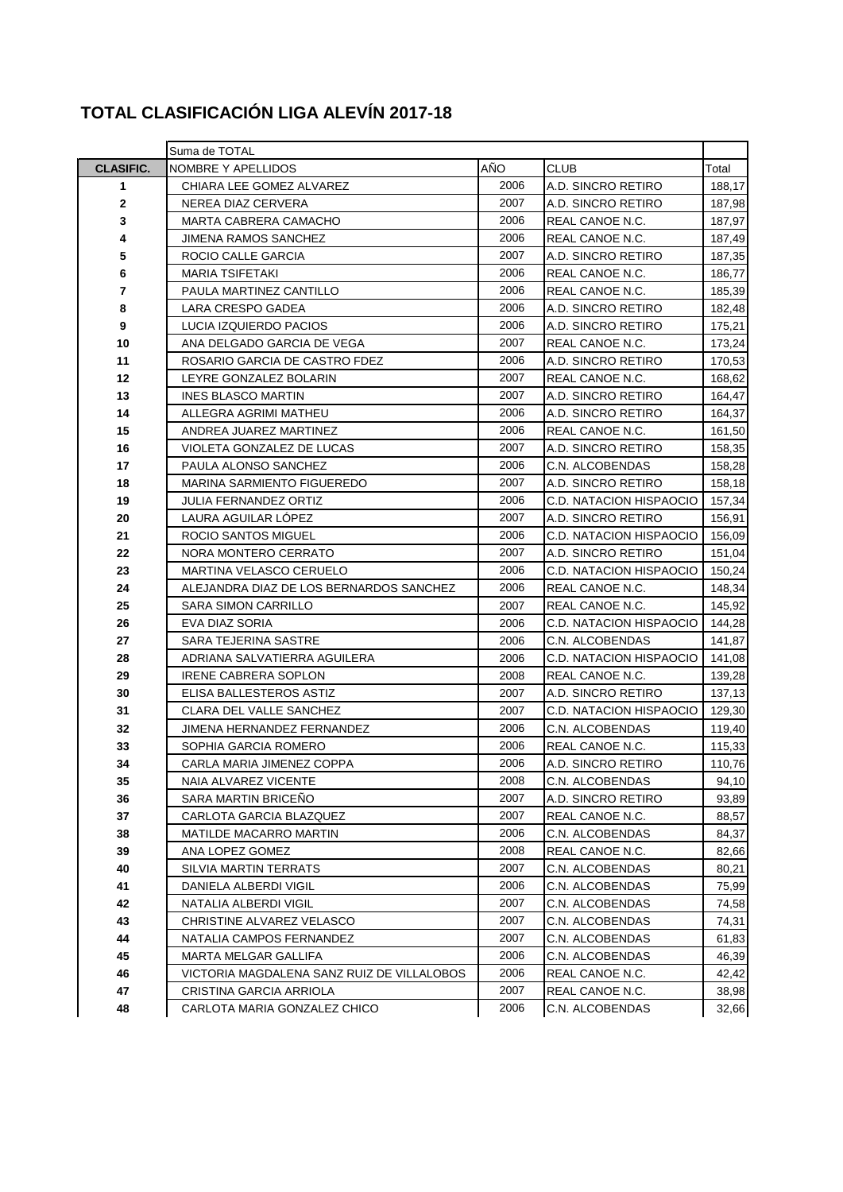### **TOTAL CLASIFICACIÓN LIGA ALEVÍN 2017-18**

|                  | Suma de TOTAL                              |      |                         |        |  |  |  |  |  |  |
|------------------|--------------------------------------------|------|-------------------------|--------|--|--|--|--|--|--|
| <b>CLASIFIC.</b> | NOMBRE Y APELLIDOS                         | AÑO  | <b>CLUB</b>             | Total  |  |  |  |  |  |  |
| 1                | CHIARA LEE GOMEZ ALVAREZ                   | 2006 | A.D. SINCRO RETIRO      | 188,17 |  |  |  |  |  |  |
| 2                | NEREA DIAZ CERVERA                         | 2007 | A.D. SINCRO RETIRO      | 187,98 |  |  |  |  |  |  |
| 3                | MARTA CABRERA CAMACHO                      | 2006 | REAL CANOE N.C.         | 187,97 |  |  |  |  |  |  |
| 4                | <b>JIMENA RAMOS SANCHEZ</b>                | 2006 | REAL CANOE N.C.         | 187,49 |  |  |  |  |  |  |
| 5                | ROCIO CALLE GARCIA                         | 2007 | A.D. SINCRO RETIRO      | 187,35 |  |  |  |  |  |  |
| 6                | <b>MARIA TSIFETAKI</b>                     | 2006 | REAL CANOE N.C.         | 186,77 |  |  |  |  |  |  |
| 7                | PAULA MARTINEZ CANTILLO                    | 2006 | REAL CANOE N.C.         | 185,39 |  |  |  |  |  |  |
| 8                | LARA CRESPO GADEA                          | 2006 | A.D. SINCRO RETIRO      | 182,48 |  |  |  |  |  |  |
| 9                | LUCIA IZQUIERDO PACIOS                     | 2006 | A.D. SINCRO RETIRO      | 175,21 |  |  |  |  |  |  |
| 10               | ANA DELGADO GARCIA DE VEGA                 | 2007 | REAL CANOE N.C.         | 173,24 |  |  |  |  |  |  |
| 11               | ROSARIO GARCIA DE CASTRO FDEZ              | 2006 | A.D. SINCRO RETIRO      | 170,53 |  |  |  |  |  |  |
| 12               | LEYRE GONZALEZ BOLARIN                     | 2007 | REAL CANOE N.C.         | 168,62 |  |  |  |  |  |  |
| 13               | <b>INES BLASCO MARTIN</b>                  | 2007 | A.D. SINCRO RETIRO      | 164,47 |  |  |  |  |  |  |
| 14               | ALLEGRA AGRIMI MATHEU                      | 2006 | A.D. SINCRO RETIRO      | 164,37 |  |  |  |  |  |  |
| 15               | ANDREA JUAREZ MARTINEZ                     | 2006 | REAL CANOE N.C.         | 161,50 |  |  |  |  |  |  |
| 16               | VIOLETA GONZALEZ DE LUCAS                  | 2007 | A.D. SINCRO RETIRO      | 158,35 |  |  |  |  |  |  |
| 17               | PAULA ALONSO SANCHEZ                       | 2006 | C.N. ALCOBENDAS         | 158,28 |  |  |  |  |  |  |
| 18               | <b>MARINA SARMIENTO FIGUEREDO</b>          | 2007 | A.D. SINCRO RETIRO      | 158,18 |  |  |  |  |  |  |
| 19               | <b>JULIA FERNANDEZ ORTIZ</b>               | 2006 | C.D. NATACION HISPAOCIO | 157,34 |  |  |  |  |  |  |
| 20               | LAURA AGUILAR LOPEZ                        | 2007 | A.D. SINCRO RETIRO      | 156,91 |  |  |  |  |  |  |
| 21               | <b>ROCIO SANTOS MIGUEL</b>                 | 2006 | C.D. NATACION HISPAOCIO | 156,09 |  |  |  |  |  |  |
| 22               | NORA MONTERO CERRATO                       | 2007 | A.D. SINCRO RETIRO      | 151,04 |  |  |  |  |  |  |
| 23               | MARTINA VELASCO CERUELO                    | 2006 | C.D. NATACION HISPAOCIO | 150,24 |  |  |  |  |  |  |
| 24               | ALEJANDRA DIAZ DE LOS BERNARDOS SANCHEZ    | 2006 | REAL CANOE N.C.         | 148,34 |  |  |  |  |  |  |
| 25               | <b>SARA SIMON CARRILLO</b>                 | 2007 | 145,92                  |        |  |  |  |  |  |  |
| 26               | EVA DIAZ SORIA                             | 2006 | C.D. NATACION HISPAOCIO | 144,28 |  |  |  |  |  |  |
| 27               | SARA TEJERINA SASTRE                       | 2006 | C.N. ALCOBENDAS         | 141,87 |  |  |  |  |  |  |
| 28               | ADRIANA SALVATIERRA AGUILERA               | 2006 | C.D. NATACION HISPAOCIO | 141,08 |  |  |  |  |  |  |
| 29               | <b>IRENE CABRERA SOPLON</b>                | 2008 | REAL CANOE N.C.         | 139,28 |  |  |  |  |  |  |
| 30               | ELISA BALLESTEROS ASTIZ                    | 2007 | A.D. SINCRO RETIRO      | 137,13 |  |  |  |  |  |  |
| 31               | CLARA DEL VALLE SANCHEZ                    | 2007 | C.D. NATACION HISPAOCIO | 129,30 |  |  |  |  |  |  |
| 32               | JIMENA HERNANDEZ FERNANDEZ                 | 2006 | C.N. ALCOBENDAS         | 119,40 |  |  |  |  |  |  |
| 33               | SOPHIA GARCIA ROMERO                       | 2006 | REAL CANOE N.C.         | 115,33 |  |  |  |  |  |  |
| 34               | CARLA MARIA JIMENEZ COPPA                  | 2006 | A.D. SINCRO RETIRO      | 110,76 |  |  |  |  |  |  |
| 35               | NAIA ALVAREZ VICENTE                       | 2008 | C.N. ALCOBENDAS         | 94,10  |  |  |  |  |  |  |
| 36               | <b>SARA MARTIN BRICENO</b>                 | 2007 | A.D. SINCRO RETIRO      | 93,89  |  |  |  |  |  |  |
| 37               | CARLOTA GARCIA BLAZQUEZ                    | 2007 | REAL CANOE N.C.         | 88,57  |  |  |  |  |  |  |
| 38               | <b>MATILDE MACARRO MARTIN</b>              | 2006 | C.N. ALCOBENDAS         | 84,37  |  |  |  |  |  |  |
| 39               | ANA LOPEZ GOMEZ                            | 2008 | REAL CANOE N.C.         | 82,66  |  |  |  |  |  |  |
| 40               | SILVIA MARTIN TERRATS                      | 2007 | C.N. ALCOBENDAS         | 80,21  |  |  |  |  |  |  |
| 41               | DANIELA ALBERDI VIGIL                      | 2006 | C.N. ALCOBENDAS         | 75,99  |  |  |  |  |  |  |
| 42               | NATALIA ALBERDI VIGIL                      | 2007 | C.N. ALCOBENDAS         | 74,58  |  |  |  |  |  |  |
| 43               | CHRISTINE ALVAREZ VELASCO                  | 2007 | C.N. ALCOBENDAS         | 74,31  |  |  |  |  |  |  |
| 44               | NATALIA CAMPOS FERNANDEZ                   | 2007 | C.N. ALCOBENDAS         | 61,83  |  |  |  |  |  |  |
| 45               | MARTA MELGAR GALLIFA                       | 2006 | C.N. ALCOBENDAS         | 46,39  |  |  |  |  |  |  |
| 46               | VICTORIA MAGDALENA SANZ RUIZ DE VILLALOBOS | 2006 | REAL CANOE N.C.         | 42,42  |  |  |  |  |  |  |
| 47               | CRISTINA GARCIA ARRIOLA                    | 2007 | REAL CANOE N.C.         | 38,98  |  |  |  |  |  |  |
| 48               | CARLOTA MARIA GONZALEZ CHICO               | 2006 | C.N. ALCOBENDAS         | 32,66  |  |  |  |  |  |  |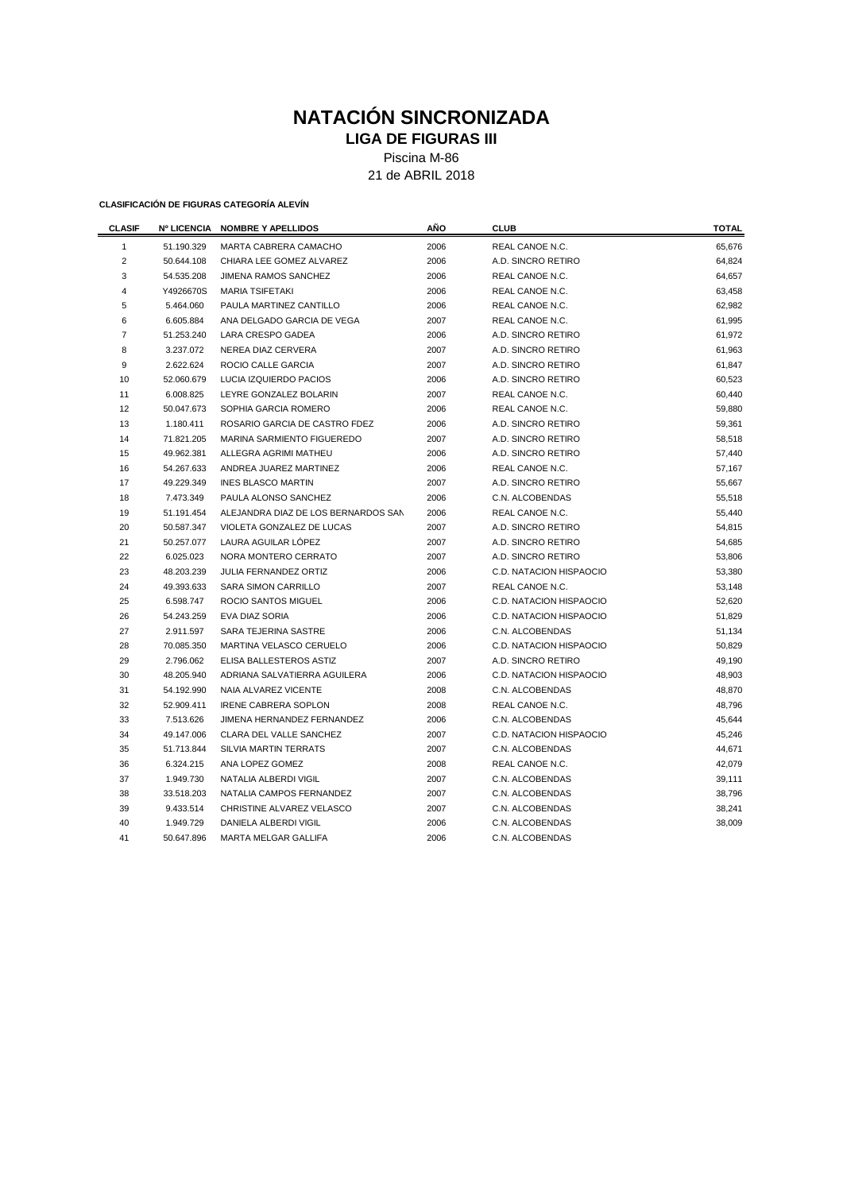### **NATACIÓN SINCRONIZADA LIGA DE FIGURAS III**

Piscina M-86

21 de ABRIL 2018

| <b>CLASIF</b>  |            | Nº LICENCIA NOMBRE Y APELLIDOS      | AÑO  | <b>CLUB</b>             | <b>TOTAL</b> |  |  |
|----------------|------------|-------------------------------------|------|-------------------------|--------------|--|--|
| 1              | 51.190.329 | MARTA CABRERA CAMACHO               | 2006 | REAL CANOE N.C.         | 65,676       |  |  |
| $\overline{2}$ | 50.644.108 | CHIARA LEE GOMEZ ALVAREZ            | 2006 | A.D. SINCRO RETIRO      | 64,824       |  |  |
| 3              | 54.535.208 | JIMENA RAMOS SANCHEZ                | 2006 | REAL CANOE N.C.         | 64,657       |  |  |
| 4              | Y4926670S  | <b>MARIA TSIFETAKI</b>              | 2006 | REAL CANOE N.C.         | 63,458       |  |  |
| 5              | 5.464.060  | PAULA MARTINEZ CANTILLO             | 2006 | REAL CANOE N.C.         | 62,982       |  |  |
| 6              | 6.605.884  | ANA DELGADO GARCIA DE VEGA          | 2007 | REAL CANOE N.C.         | 61,995       |  |  |
| $\overline{7}$ | 51.253.240 | <b>LARA CRESPO GADEA</b>            | 2006 | A.D. SINCRO RETIRO      | 61,972       |  |  |
| 8              | 3.237.072  | NEREA DIAZ CERVERA                  | 2007 | A.D. SINCRO RETIRO      | 61,963       |  |  |
| 9              | 2.622.624  | ROCIO CALLE GARCIA                  | 2007 | A.D. SINCRO RETIRO      | 61,847       |  |  |
| 10             | 52.060.679 | LUCIA IZQUIERDO PACIOS              | 2006 | A.D. SINCRO RETIRO      | 60,523       |  |  |
| 11             | 6.008.825  | LEYRE GONZALEZ BOLARIN              | 2007 | REAL CANOE N.C.         | 60,440       |  |  |
| 12             | 50.047.673 | SOPHIA GARCIA ROMERO                | 2006 | REAL CANOE N.C.         | 59,880       |  |  |
| 13             | 1.180.411  | ROSARIO GARCIA DE CASTRO FDEZ       | 2006 | A.D. SINCRO RETIRO      | 59,361       |  |  |
| 14             | 71.821.205 | MARINA SARMIENTO FIGUEREDO          | 2007 | A.D. SINCRO RETIRO      | 58,518       |  |  |
| 15             | 49.962.381 | ALLEGRA AGRIMI MATHEU               | 2006 | A.D. SINCRO RETIRO      | 57,440       |  |  |
| 16             | 54.267.633 | ANDREA JUAREZ MARTINEZ              | 2006 | REAL CANOE N.C.         | 57,167       |  |  |
| 17             | 49.229.349 | <b>INES BLASCO MARTIN</b>           | 2007 | A.D. SINCRO RETIRO      | 55,667       |  |  |
| 18             | 7.473.349  | PAULA ALONSO SANCHEZ                | 2006 | C.N. ALCOBENDAS         | 55,518       |  |  |
| 19             | 51.191.454 | ALEJANDRA DIAZ DE LOS BERNARDOS SAN | 2006 | REAL CANOE N.C.         | 55,440       |  |  |
| 20             | 50.587.347 | VIOLETA GONZALEZ DE LUCAS           | 2007 | A.D. SINCRO RETIRO      | 54,815       |  |  |
| 21             | 50.257.077 | LAURA AGUILAR LÓPEZ                 | 2007 | A.D. SINCRO RETIRO      | 54,685       |  |  |
| 22             | 6.025.023  | NORA MONTERO CERRATO                | 2007 | A.D. SINCRO RETIRO      | 53,806       |  |  |
| 23             | 48.203.239 | JULIA FERNANDEZ ORTIZ               | 2006 | C.D. NATACION HISPAOCIO | 53,380       |  |  |
| 24             | 49.393.633 | <b>SARA SIMON CARRILLO</b>          | 2007 | REAL CANOE N.C.         | 53,148       |  |  |
| 25             | 6.598.747  | ROCIO SANTOS MIGUEL                 | 2006 | C.D. NATACION HISPAOCIO | 52,620       |  |  |
| 26             | 54.243.259 | EVA DIAZ SORIA                      | 2006 | C.D. NATACION HISPAOCIO | 51,829       |  |  |
| 27             | 2.911.597  | SARA TEJERINA SASTRE                | 2006 | C.N. ALCOBENDAS         | 51,134       |  |  |
| 28             | 70.085.350 | MARTINA VELASCO CERUELO             | 2006 | C.D. NATACION HISPAOCIO | 50,829       |  |  |
| 29             | 2.796.062  | <b>ELISA BALLESTEROS ASTIZ</b>      | 2007 | A.D. SINCRO RETIRO      | 49,190       |  |  |
| 30             | 48.205.940 | ADRIANA SALVATIERRA AGUILERA        | 2006 | C.D. NATACION HISPAOCIO | 48,903       |  |  |
| 31             | 54.192.990 | NAIA ALVAREZ VICENTE                | 2008 | C.N. ALCOBENDAS         | 48,870       |  |  |
| 32             | 52.909.411 | <b>IRENE CABRERA SOPLON</b>         | 2008 | REAL CANOE N.C.         | 48,796       |  |  |
| 33             | 7.513.626  | JIMENA HERNANDEZ FERNANDEZ          | 2006 | C.N. ALCOBENDAS         | 45,644       |  |  |
| 34             | 49.147.006 | CLARA DEL VALLE SANCHEZ             | 2007 | C.D. NATACION HISPAOCIO | 45,246       |  |  |
| 35             | 51.713.844 | SILVIA MARTIN TERRATS               | 2007 | C.N. ALCOBENDAS         | 44,671       |  |  |
| 36             | 6.324.215  | ANA LOPEZ GOMEZ                     | 2008 | REAL CANOE N.C.         | 42,079       |  |  |
| 37             | 1.949.730  | NATALIA ALBERDI VIGIL               | 2007 | C.N. ALCOBENDAS         | 39,111       |  |  |
| 38             | 33.518.203 | NATALIA CAMPOS FERNANDEZ            | 2007 | C.N. ALCOBENDAS         | 38,796       |  |  |
| 39             | 9.433.514  | CHRISTINE ALVAREZ VELASCO           | 2007 | C.N. ALCOBENDAS         | 38,241       |  |  |
| 40             | 1.949.729  | <b>DANIELA ALBERDI VIGIL</b>        | 2006 | C.N. ALCOBENDAS         | 38,009       |  |  |
| 41             | 50.647.896 | <b>MARTA MELGAR GALLIFA</b>         | 2006 | C.N. ALCOBENDAS         |              |  |  |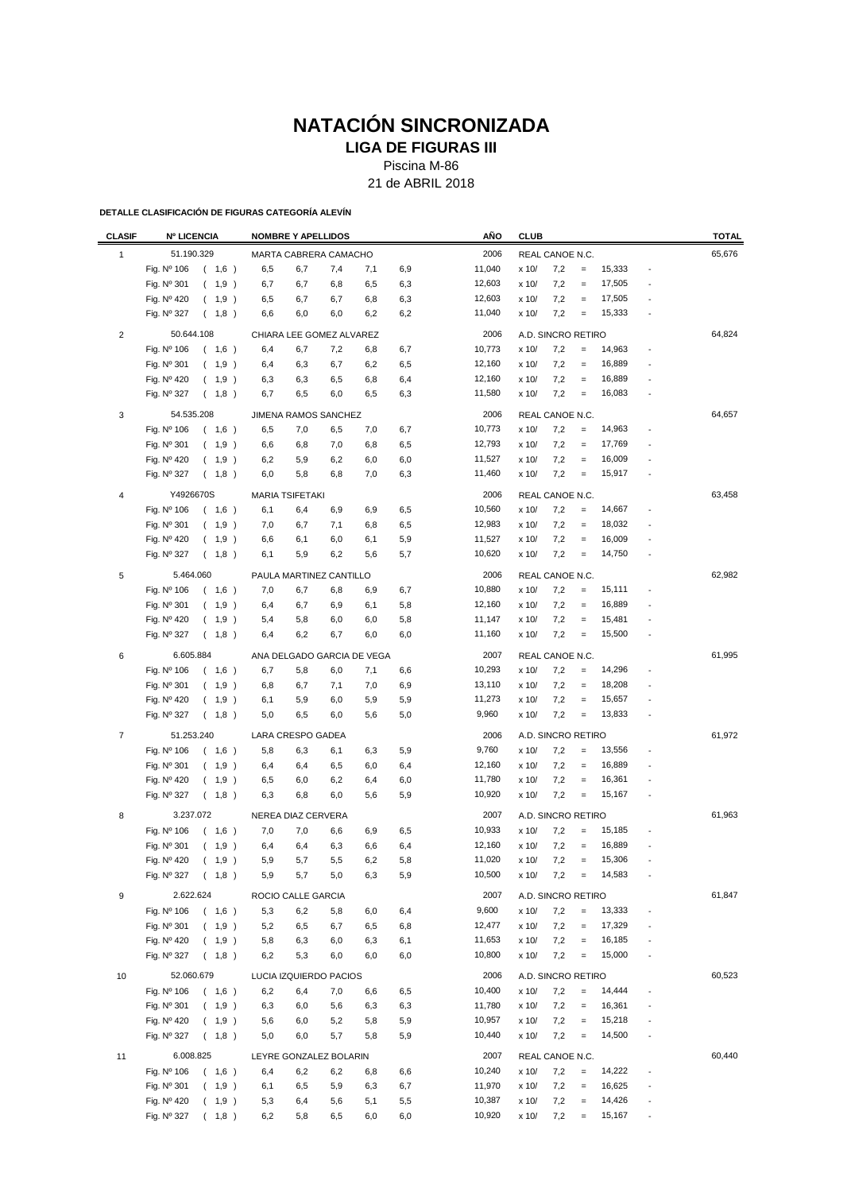## **NATACIÓN SINCRONIZADA**

**LIGA DE FIGURAS III**

Piscina M-86

21 de ABRIL 2018

| <b>CLASIF</b>  | <b>Nº LICENCIA</b> |       |     | <b>NOMBRE Y APELLIDOS</b> |     |                            |     | AÑO    | <b>CLUB</b> |                    |                   |        |                          | <b>TOTAL</b> |
|----------------|--------------------|-------|-----|---------------------------|-----|----------------------------|-----|--------|-------------|--------------------|-------------------|--------|--------------------------|--------------|
| 1              | 51.190.329         |       |     | MARTA CABRERA CAMACHO     |     |                            |     | 2006   |             | REAL CANOE N.C.    |                   |        |                          | 65,676       |
|                | Fig. Nº 106        | (1,6) | 6,5 | 6,7                       | 7,4 | 7,1                        | 6,9 | 11,040 | x 10/       | 7,2                | $\equiv$          | 15,333 |                          |              |
|                | Fig. Nº 301        | (1,9) | 6,7 | 6,7                       | 6,8 | 6,5                        | 6,3 | 12,603 | x 10/       | 7,2                | $\equiv$          | 17,505 |                          |              |
|                | Fig. Nº 420        | (1,9) | 6,5 | 6,7                       | 6,7 | 6,8                        | 6,3 | 12,603 | x 10/       | 7,2                | $\qquad \qquad =$ | 17,505 |                          |              |
|                | Fig. Nº 327        | (1,8) | 6,6 | 6,0                       | 6,0 | 6,2                        | 6,2 | 11,040 | x 10/       | 7,2                | $\qquad \qquad =$ | 15,333 |                          |              |
|                |                    |       |     |                           |     |                            |     |        |             |                    |                   |        |                          |              |
| $\sqrt{2}$     | 50.644.108         |       |     | CHIARA LEE GOMEZ ALVAREZ  |     |                            |     | 2006   |             | A.D. SINCRO RETIRO |                   |        |                          | 64,824       |
|                | Fig. Nº 106        | (1,6) | 6,4 | 6,7                       | 7,2 | 6,8                        | 6,7 | 10,773 | x 10/       | 7,2                | $=$               | 14,963 | $\overline{\phantom{a}}$ |              |
|                | Fig. Nº 301        | (1,9) | 6,4 | 6,3                       | 6,7 | 6,2                        | 6,5 | 12,160 | x 10/       | 7,2                | $\equiv$          | 16,889 |                          |              |
|                | Fig. Nº 420        | (1,9) | 6,3 | 6,3                       | 6,5 | 6,8                        | 6,4 | 12,160 | x 10/       | 7,2                | $\qquad \qquad =$ | 16,889 | ÷,                       |              |
|                | Fig. Nº 327        | (1,8) | 6,7 | 6,5                       | 6,0 | 6,5                        | 6,3 | 11,580 | x 10/       | 7,2                | $\qquad \qquad =$ | 16,083 | $\overline{\phantom{a}}$ |              |
| 3              | 54.535.208         |       |     | JIMENA RAMOS SANCHEZ      |     |                            |     | 2006   |             | REAL CANOE N.C.    |                   |        |                          | 64,657       |
|                | Fig. Nº 106        | (1,6) | 6,5 | 7,0                       | 6,5 | 7,0                        | 6,7 | 10,773 | x 10/       | 7,2                | $\qquad \qquad =$ | 14,963 |                          |              |
|                | Fig. Nº 301        | (1,9) | 6,6 | 6,8                       | 7,0 | 6,8                        | 6,5 | 12,793 | x 10/       | 7,2                | $\qquad \qquad =$ | 17,769 |                          |              |
|                | Fig. Nº 420        | (1,9) | 6,2 | 5,9                       | 6,2 | 6,0                        | 6,0 | 11,527 | x 10/       | 7,2                | $\qquad \qquad =$ | 16,009 |                          |              |
|                | Fig. Nº 327        | (1,8) | 6,0 | 5,8                       | 6,8 | 7,0                        | 6,3 | 11,460 | x 10/       | 7,2                | $\qquad \qquad =$ | 15,917 |                          |              |
|                |                    |       |     |                           |     |                            |     |        |             |                    |                   |        |                          |              |
| 4              | Y4926670S          |       |     | <b>MARIA TSIFETAKI</b>    |     |                            |     | 2006   |             | REAL CANOE N.C.    |                   |        |                          | 63,458       |
|                | Fig. Nº 106        | (1,6) | 6,1 | 6,4                       | 6,9 | 6,9                        | 6,5 | 10,560 | x 10/       | 7,2                | $\quad \  \, =$   | 14,667 | $\overline{\phantom{a}}$ |              |
|                | Fig. Nº 301        | (1,9) | 7,0 | 6,7                       | 7,1 | 6,8                        | 6,5 | 12,983 | x 10/       | 7,2                | $\equiv$          | 18,032 |                          |              |
|                | Fig. Nº 420        | (1,9) | 6,6 | 6,1                       | 6,0 | 6,1                        | 5,9 | 11,527 | x 10/       | 7,2                | $\qquad \qquad =$ | 16,009 |                          |              |
|                | Fig. Nº 327        | (1,8) | 6,1 | 5,9                       | 6,2 | 5,6                        | 5,7 | 10,620 | x 10/       | 7,2                | $\qquad \qquad =$ | 14,750 |                          |              |
| 5              | 5.464.060          |       |     | PAULA MARTINEZ CANTILLO   |     |                            |     | 2006   |             | REAL CANOE N.C.    |                   |        |                          | 62,982       |
|                | Fig. Nº 106        | (1,6) | 7,0 | 6,7                       | 6,8 | 6,9                        | 6,7 | 10,880 | x 10/       | 7,2                | $\qquad \qquad =$ | 15,111 |                          |              |
|                | Fig. Nº 301        | (1,9) | 6,4 | 6,7                       | 6,9 | 6,1                        | 5,8 | 12,160 | x 10/       | 7,2                | $\qquad \qquad =$ | 16,889 |                          |              |
|                | Fig. Nº 420        | (1,9) | 5,4 | 5,8                       | 6,0 | 6,0                        | 5,8 | 11,147 | x 10/       | 7,2                | $\qquad \qquad =$ | 15,481 |                          |              |
|                | Fig. Nº 327        | (1,8) | 6,4 | 6,2                       | 6,7 | 6,0                        | 6,0 | 11,160 | x 10/       | 7,2                | $\equiv$          | 15,500 | $\overline{a}$           |              |
| 6              | 6.605.884          |       |     |                           |     | ANA DELGADO GARCIA DE VEGA |     | 2007   |             | REAL CANOE N.C.    |                   |        |                          | 61,995       |
|                | Fig. Nº 106        | (1,6) | 6,7 | 5,8                       | 6,0 | 7,1                        | 6,6 | 10,293 | x 10/       | 7,2                | $\qquad \qquad =$ | 14,296 |                          |              |
|                | Fig. Nº 301        | (1,9) | 6,8 | 6,7                       | 7,1 | 7,0                        | 6,9 | 13,110 | x 10/       | 7,2                | $\qquad \qquad =$ | 18,208 | $\overline{\phantom{a}}$ |              |
|                | Fig. Nº 420        | (1,9) | 6,1 | 5,9                       | 6,0 | 5,9                        | 5,9 | 11,273 | x 10/       | 7,2                | $\qquad \qquad =$ | 15,657 |                          |              |
|                | Fig. Nº 327        | (1,8) | 5,0 | 6,5                       | 6,0 | 5,6                        | 5,0 | 9,960  | x 10/       | 7,2                | $\qquad \qquad =$ | 13,833 | $\overline{\phantom{a}}$ |              |
|                |                    |       |     |                           |     |                            |     |        |             |                    |                   |        |                          |              |
| $\overline{7}$ | 51.253.240         |       |     | LARA CRESPO GADEA         |     |                            |     | 2006   |             | A.D. SINCRO RETIRO |                   |        |                          | 61,972       |
|                | Fig. Nº 106        | (1,6) | 5,8 | 6,3                       | 6,1 | 6,3                        | 5,9 | 9,760  | x 10/       | 7,2                | $\quad \  \, =$   | 13,556 |                          |              |
|                | Fig. Nº 301        | (1,9) | 6,4 | 6,4                       | 6,5 | 6,0                        | 6,4 | 12,160 | x 10/       | 7,2                | $\qquad \qquad =$ | 16,889 |                          |              |
|                | Fig. Nº 420        | (1,9) | 6,5 | 6,0                       | 6,2 | 6,4                        | 6,0 | 11,780 | x 10/       | 7,2                | $\qquad \qquad =$ | 16,361 |                          |              |
|                | Fig. Nº 327        | (1,8) | 6,3 | 6,8                       | 6,0 | 5,6                        | 5,9 | 10,920 | x 10/       | 7,2                | $\qquad \qquad =$ | 15,167 |                          |              |
| 8              | 3.237.072          |       |     | NEREA DIAZ CERVERA        |     |                            |     | 2007   |             | A.D. SINCRO RETIRO |                   |        |                          | 61,963       |
|                | Fig. Nº 106        | (1,6) | 7,0 | 7,0                       | 6,6 | 6,9                        | 6,5 | 10,933 | x 10/       | 7,2                | $\qquad \qquad =$ | 15,185 |                          |              |
|                | Fig. Nº 301        | (1,9) | 6,4 | 6,4                       | 6,3 | 6,6                        | 6,4 | 12,160 | x 10/       | 7,2                | $\equiv$          | 16,889 |                          |              |
|                | Fig. Nº 420        | (1,9) | 5,9 | 5,7                       | 5,5 | 6,2                        | 5,8 | 11,020 | x 10/       | 7,2                | $=$               | 15,306 |                          |              |
|                | Fig. Nº 327        | (1,8) | 5,9 | 5,7                       | 5,0 | 6,3                        | 5,9 | 10,500 | x 10/       | 7,2                | $=$               | 14,583 | $\overline{\phantom{a}}$ |              |
| 9              | 2.622.624          |       |     | ROCIO CALLE GARCIA        |     |                            |     | 2007   |             | A.D. SINCRO RETIRO |                   |        |                          | 61,847       |
|                | Fig. Nº 106        | (1,6) | 5,3 | 6,2                       | 5,8 | 6,0                        | 6,4 | 9,600  | x 10/       | 7,2                | $\equiv$          | 13,333 |                          |              |
|                | Fig. Nº 301        | (1,9) | 5,2 | 6,5                       | 6,7 | 6,5                        | 6,8 | 12,477 | x 10/       | 7,2                | $\equiv$          | 17,329 |                          |              |
|                | Fig. Nº 420        | (1,9) | 5,8 | 6,3                       | 6,0 | 6,3                        | 6,1 | 11,653 | x 10/       | 7,2                | $\qquad \qquad =$ | 16,185 |                          |              |
|                | Fig. Nº 327        | (1,8) | 6,2 | 5,3                       | 6,0 | 6,0                        | 6,0 | 10,800 | x 10/       | 7,2                | $\qquad \qquad =$ | 15,000 | $\overline{\phantom{a}}$ |              |
|                |                    |       |     |                           |     |                            |     |        |             |                    |                   |        |                          |              |
| 10             | 52.060.679         |       |     | LUCIA IZQUIERDO PACIOS    |     |                            |     | 2006   |             | A.D. SINCRO RETIRO |                   |        |                          | 60,523       |
|                | Fig. Nº 106        | (1,6) | 6,2 | 6,4                       | 7,0 | 6,6                        | 6,5 | 10,400 | x 10/       | 7,2                | $\equiv$          | 14,444 |                          |              |
|                | Fig. Nº 301        | (1,9) | 6,3 | 6,0                       | 5,6 | 6,3                        | 6,3 | 11,780 | x 10/       | 7,2                | $\equiv$          | 16,361 |                          |              |
|                | Fig. Nº 420        | (1,9) | 5,6 | 6,0                       | 5,2 | 5,8                        | 5,9 | 10,957 | x 10/       | 7,2                | $\equiv$          | 15,218 | $\overline{\phantom{a}}$ |              |
|                | Fig. Nº 327        | (1,8) | 5,0 | 6,0                       | 5,7 | 5,8                        | 5,9 | 10,440 | x 10/       | 7,2                | $\qquad \qquad =$ | 14,500 |                          |              |
| 11             | 6.008.825          |       |     | LEYRE GONZALEZ BOLARIN    |     |                            |     | 2007   |             | REAL CANOE N.C.    |                   |        |                          | 60,440       |
|                | Fig. Nº 106        | (1,6) | 6,4 | 6,2                       | 6,2 | 6,8                        | 6,6 | 10,240 | x 10/       | 7,2                | $=$               | 14,222 | $\overline{\phantom{a}}$ |              |
|                | Fig. Nº 301        | (1,9) | 6,1 | 6,5                       | 5,9 | 6,3                        | 6,7 | 11,970 | x 10/       | 7,2                | $\equiv$          | 16,625 |                          |              |
|                | Fig. Nº 420        | (1,9) | 5,3 | 6,4                       | 5,6 | 5,1                        | 5,5 | 10,387 | x 10/       | 7,2                | $\qquad \qquad =$ | 14,426 |                          |              |
|                | Fig. Nº 327        | (1,8) | 6,2 | 5,8                       | 6,5 | 6,0                        | 6,0 | 10,920 | x 10/       | 7,2                | $\equiv$          | 15,167 |                          |              |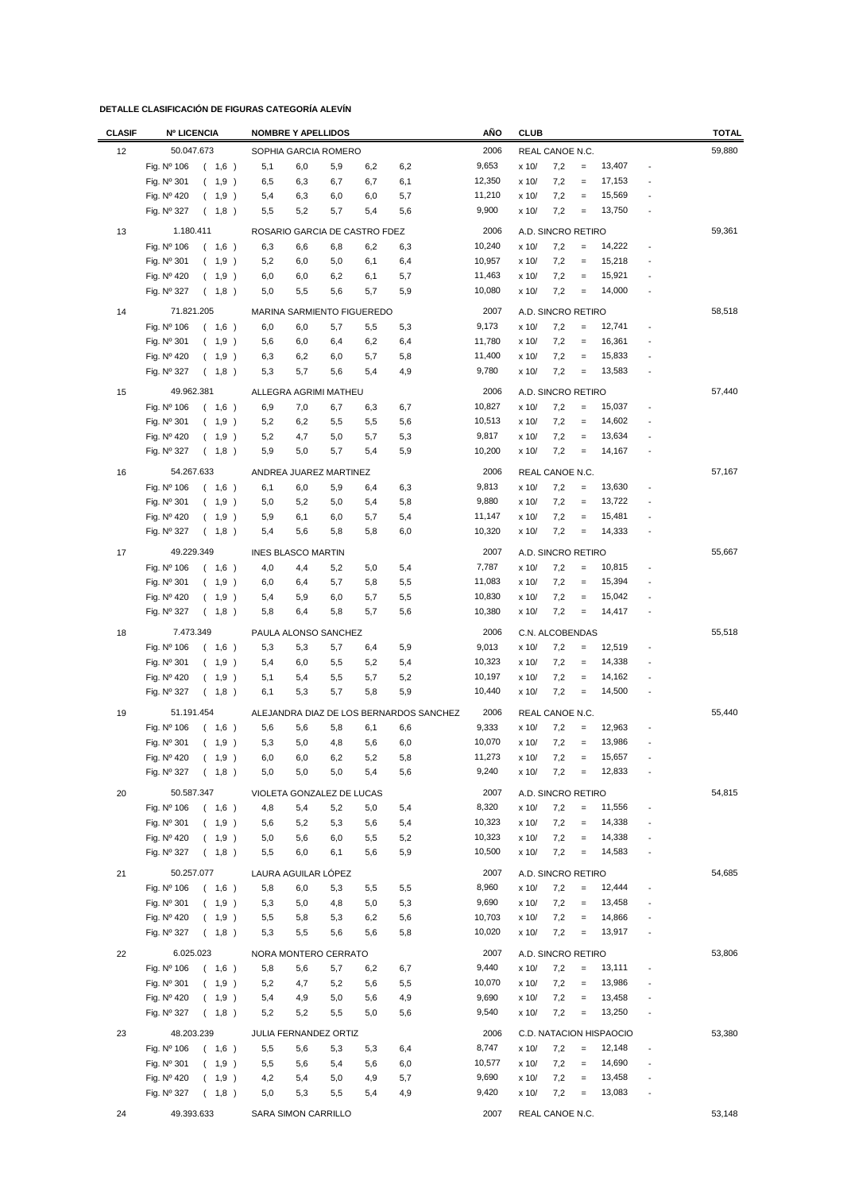| <b>CLASIF</b> | <b>Nº LICENCIA</b>                           | <b>NOMBRE Y APELLIDOS</b>                                   | AÑO              | <b>CLUB</b>                                                   | <b>TOTAL</b> |
|---------------|----------------------------------------------|-------------------------------------------------------------|------------------|---------------------------------------------------------------|--------------|
| 12            | 50.047.673                                   | SOPHIA GARCIA ROMERO                                        | 2006             | REAL CANOE N.C.                                               | 59,880       |
|               | Fig. Nº 106<br>(1,6)                         | 6,2<br>5,1<br>6,0<br>5,9<br>6,2                             | 9,653            | 13,407<br>7,2<br>x 10/<br>$\equiv$                            |              |
|               | Fig. Nº 301<br>$\left($<br>1,9)              | 6,5<br>6,3<br>6,7<br>6,7<br>6,1                             | 12,350           | 7,2<br>x 10/<br>17,153<br>$\equiv$                            |              |
|               | Fig. $N^{\circ}$ 420<br>(1,9)                | 5,7<br>5,4<br>6,3<br>6,0<br>6,0                             | 11,210           | 15,569<br>x 10/<br>7,2<br>$\equiv$                            |              |
|               | Fig. Nº 327<br>(1,8)                         | 5,5<br>5,2<br>5,7<br>5,4<br>5,6                             | 9,900            | 13,750<br>x 10/<br>7,2<br>$\equiv$                            |              |
|               |                                              |                                                             |                  |                                                               |              |
| 13            | 1.180.411                                    | ROSARIO GARCIA DE CASTRO FDEZ                               | 2006             | A.D. SINCRO RETIRO<br>14,222                                  | 59,361       |
|               | Fig. Nº 106<br>(1,6)                         | 6,3<br>6,6<br>6,8<br>6,2<br>6,3<br>5,2<br>6,1               | 10,240<br>10,957 | x 10/<br>7,2<br>$\qquad \qquad =$<br>$\overline{a}$<br>15,218 |              |
|               | Fig. $N^{\circ}$ 301<br>(1,9)<br>Fig. Nº 420 | 6,0<br>5,0<br>6,4                                           | 11,463           | 7,2<br>x 10/<br>$=$<br>7,2<br>15,921<br>x 10/<br>$\equiv$     |              |
|               | 1,9)<br>$\left($<br>$\left($                 | 5,7<br>6,0<br>6,0<br>6,2<br>6,1<br>5,0<br>5,5<br>5,6<br>5,7 | 10,080           | 14,000<br>7,2<br>x 10/<br>$\equiv$                            |              |
|               | Fig. Nº 327<br>1,8)                          | 5,9                                                         |                  |                                                               |              |
| 14            | 71.821.205                                   | MARINA SARMIENTO FIGUEREDO                                  | 2007             | A.D. SINCRO RETIRO                                            | 58,518       |
|               | Fig. Nº 106<br>(1,6)                         | 6,0<br>6,0<br>5,7<br>5,5<br>5,3                             | 9,173            | 12,741<br>7,2<br>$\equiv$<br>x 10/                            |              |
|               | Fig. Nº 301<br>$\left($<br>1,9)              | 5,6<br>6,0<br>6,4<br>6,2<br>6,4                             | 11,780           | 16,361<br>7,2<br>x 10/<br>$\equiv$                            |              |
|               | Fig. Nº 420<br>(1,9)                         | 6,3<br>6,2<br>6,0<br>5,7<br>5,8                             | 11,400           | 15,833<br>7,2<br>x 10/<br>$=$                                 |              |
|               | Fig. Nº 327<br>(1,8)                         | 4,9<br>5,3<br>5,7<br>5,6<br>5,4                             | 9,780            | 13,583<br>7,2<br>x 10/<br>$\equiv$                            |              |
| 15            | 49.962.381                                   | ALLEGRA AGRIMI MATHEU                                       | 2006             | A.D. SINCRO RETIRO                                            | 57,440       |
|               | Fig. Nº 106<br>(1,6)                         | 6,9<br>7,0<br>6,7<br>6,7<br>6,3                             | 10,827           | 15,037<br>x 10/<br>7,2<br>$\qquad \qquad =$                   |              |
|               | Fig. Nº 301<br>1,9)<br>(                     | 5,2<br>6,2<br>5,5<br>5,5<br>5,6                             | 10,513           | 14,602<br>7,2<br>x 10/<br>$\qquad \qquad =$                   |              |
|               | Fig. Nº 420<br>1,9 )                         | 5,2<br>4,7<br>5,7<br>5,3<br>5,0                             | 9,817            | 13,634<br>7,2<br>x 10/<br>$\equiv$                            |              |
|               | Fig. Nº 327<br>(1,8)                         | 5,9<br>5,0<br>5,7<br>5,4<br>5,9                             | 10,200           | 7,2<br>x 10/<br>14,167<br>$\equiv$                            |              |
|               | 54.267.633                                   |                                                             | 2006             | REAL CANOE N.C.                                               | 57,167       |
| 16            |                                              | ANDREA JUAREZ MARTINEZ                                      | 9,813            | 13,630<br>$\equiv$                                            |              |
|               | Fig. Nº 106<br>(1,6)<br>Fig. Nº 301          | 6,1<br>6,0<br>5,9<br>6,4<br>6,3<br>5,0<br>5,2<br>5,0        | 9,880            | x 10/<br>7,2<br>7,2<br>13,722<br>x 10/                        |              |
|               | (1,9)<br>Fig. Nº 420                         | 5,4<br>5,8<br>5,9<br>5,7<br>5,4                             | 11,147           | $\equiv$<br>15,481<br>x 10/<br>7,2                            |              |
|               | (1,9)                                        | 6,1<br>6,0<br>5,4<br>5,6<br>5,8<br>5,8<br>6,0               | 10,320           | $\equiv$<br>7,2<br>14,333<br>x 10/<br>$\qquad \qquad =$       |              |
|               | Fig. Nº 327<br>1,8)<br>$\left($              |                                                             |                  |                                                               |              |
| 17            | 49.229.349                                   | <b>INES BLASCO MARTIN</b>                                   | 2007             | A.D. SINCRO RETIRO                                            | 55,667       |
|               | Fig. Nº 106<br>(1,6)                         | 5,2<br>5,0<br>5,4<br>4,0<br>4,4                             | 7,787            | 7,2<br>10,815<br>x 10/<br>$=$                                 |              |
|               | Fig. Nº 301<br>1,9)<br>(                     | 5,7<br>5,5<br>6,0<br>6,4<br>5,8                             | 11,083           | x 10/<br>7,2<br>15,394<br>$\equiv$                            |              |
|               | Fig. $N^{\circ}$ 420<br>1,9)<br>$\left($     | 5,4<br>5,9<br>6,0<br>5,7<br>5,5                             | 10,830           | 7,2<br>15,042<br>x 10/<br>$\equiv$                            |              |
|               | Fig. Nº 327<br>(1,8)                         | 5,8<br>6,4<br>5,8<br>5,7<br>5,6                             | 10,380           | 7,2<br>14,417<br>x 10/<br>$\equiv$<br>÷,                      |              |
| 18            | 7.473.349                                    | PAULA ALONSO SANCHEZ                                        | 2006             | C.N. ALCOBENDAS                                               | 55,518       |
|               | Fig. Nº 106<br>1,6)<br>$\left($              | 5,3<br>5,3<br>5,7<br>5,9<br>6,4                             | 9,013            | 12,519<br>7,2<br>x 10/<br>$\qquad \qquad =$                   |              |
|               | Fig. $N^{\circ}$ 301<br>(1,9)                | 5,4<br>6,0<br>5,5<br>5,2<br>5,4                             | 10,323           | 14,338<br>7,2<br>x 10/<br>$\qquad \qquad =$                   |              |
|               | Fig. Nº 420<br>(1,9)                         | 5,2<br>5,1<br>5,4<br>5,5<br>5,7                             | 10,197           | 7,2<br>14,162<br>x 10/<br>$\equiv$                            |              |
|               | Fig. Nº 327<br>(1,8)                         | 5,3<br>5,7<br>5,9<br>6,1<br>5,8                             | 10,440           | 7,2<br>14,500<br>x 10/<br>$\equiv$                            |              |
|               | 51.191.454                                   | ALEJANDRA DIAZ DE LOS BERNARDOS SANCHEZ                     | 2006             | REAL CANOE N.C.                                               | 55,440       |
| 19            | Fig. Nº 106<br>1,6)<br>(                     | 5,6<br>5,6<br>5,8<br>6,1<br>6,6                             | 9,333            | 7,2<br>12,963<br>x 10/<br>$\equiv$                            |              |
|               | Fig. Nº 301<br>(1,9)                         | 5,3<br>5,0<br>4,8<br>5,6<br>6,0                             | 10,070           | 7,2<br>13,986<br>x 10/<br>$\qquad \qquad =$                   |              |
|               | Fig. $N^{\circ}$ 420<br>(1,9)                | 5,2<br>6,2<br>5,8<br>6,0<br>6,0                             | 11,273           | x 10/<br>7.2<br>15,657<br>$\qquad \qquad =$                   |              |
|               | Fig. Nº 327<br>(1,8)                         | 5,0<br>5,0<br>5,0<br>5,4<br>5,6                             | 9,240            | 12,833<br>7,2<br>x 10/<br>$\qquad \qquad =$                   |              |
|               |                                              |                                                             |                  |                                                               |              |
| 20            | 50.587.347                                   | VIOLETA GONZALEZ DE LUCAS                                   | 2007             | A.D. SINCRO RETIRO                                            | 54,815       |
|               | Fig. Nº 106<br>(1,6)                         | 4,8<br>5,4<br>5,2<br>5,0<br>5,4                             | 8,320            | x 10/<br>7,2<br>11,556<br>$=$<br>$\overline{\phantom{m}}$     |              |
|               | Fig. Nº 301<br>(1,9)                         | 5,2<br>5,3<br>5,4<br>5,6<br>5,6                             | 10,323           | 14,338<br>x 10/<br>7,2<br>$=$                                 |              |
|               | Fig. Nº 420<br>(1,9)                         | 6,0<br>5,5<br>5,2<br>5,0<br>5,6                             | 10,323           | 14,338<br>7,2<br>x 10/<br>$\qquad \qquad =$                   |              |
|               | Fig. Nº 327<br>(1,8)                         | 5,5<br>6,0<br>6,1<br>5,6<br>5,9                             | 10,500           | 14,583<br>x 10/<br>7,2<br>$\!=$                               |              |
| 21            | 50.257.077                                   | LAURA AGUILAR LÓPEZ                                         | 2007             | A.D. SINCRO RETIRO                                            | 54,685       |
|               | Fig. Nº 106<br>1,6)<br>$\left($              | 5,8<br>6,0<br>5,3<br>5,5<br>5,5                             | 8,960            | 12,444<br>x 10/<br>7,2<br>$\!=$                               |              |
|               | Fig. Nº 301<br>1,9)<br>$\left($              | 5,3<br>5,0<br>5,0<br>5,3<br>4,8                             | 9,690            | x 10/<br>7,2<br>13,458<br>$\!=$                               |              |
|               | Fig. Nº 420<br>(1,9)                         | 5,5<br>5,3<br>6,2<br>5,6<br>5,8                             | 10,703           | 7,2<br>14,866<br>x 10/<br>$\equiv$                            |              |
|               | Fig. Nº 327<br>(1,8)                         | 5,3<br>5,5<br>5,6<br>5,6<br>5,8                             | 10,020           | 13,917<br>x 10/<br>7,2<br>$\!=$                               |              |
| 22            | 6.025.023                                    | NORA MONTERO CERRATO                                        | 2007             | A.D. SINCRO RETIRO                                            | 53,806       |
|               | Fig. Nº 106<br>(1,6)                         | 5,8<br>5,6<br>5,7<br>6,7<br>6,2                             | 9,440            | 13,111<br>x 10/<br>7,2<br>$=$<br>$\overline{a}$               |              |
|               | Fig. Nº 301<br>(1,9)                         | 5,2<br>4,7<br>5,2<br>5,6<br>5,5                             | 10,070           | 13,986<br>x 10/<br>7,2<br>$\equiv$                            |              |
|               | Fig. Nº 420<br>(1,9)                         | 5,4<br>4,9<br>5,0<br>5,6<br>4,9                             | 9,690            | 7,2<br>13,458<br>x 10/<br>$=$                                 |              |
|               | Fig. Nº 327<br>$\left($<br>1,8)              | 5,2<br>5,5<br>5,2<br>5,0<br>5,6                             | 9,540            | 13,250<br>7,2<br>x 10/<br>$\!=$                               |              |
|               |                                              |                                                             |                  |                                                               |              |
| 23            | 48.203.239                                   | JULIA FERNANDEZ ORTIZ                                       | 2006             | C.D. NATACION HISPAOCIO                                       | 53,380       |
|               | (1,6)<br>Fig. Nº 106                         | 5,5<br>5,3<br>5,6<br>5,3<br>6,4                             | 8,747            | 7,2<br>12,148<br>x 10/<br>$\qquad \qquad =$                   |              |
|               | Fig. Nº 301<br>(1,9)                         | 5,5<br>5,6<br>5,4<br>5,6<br>6,0                             | 10,577           | 14,690<br>7,2<br>x 10/<br>$=$                                 |              |
|               | Fig. Nº 420<br>(1,9)                         | 4,2<br>5,4<br>5,0<br>4,9<br>5,7                             | 9,690            | 13,458<br>7,2<br>x 10/<br>$=$                                 |              |
|               | Fig. Nº 327<br>(1,8)                         | 5,5<br>5,0<br>5,3<br>5,4<br>4,9                             | 9,420            | 7,2<br>13,083<br>x 10/<br>$\equiv$                            |              |
| 24            | 49.393.633                                   | SARA SIMON CARRILLO                                         | 2007             | REAL CANOE N.C.                                               | 53,148       |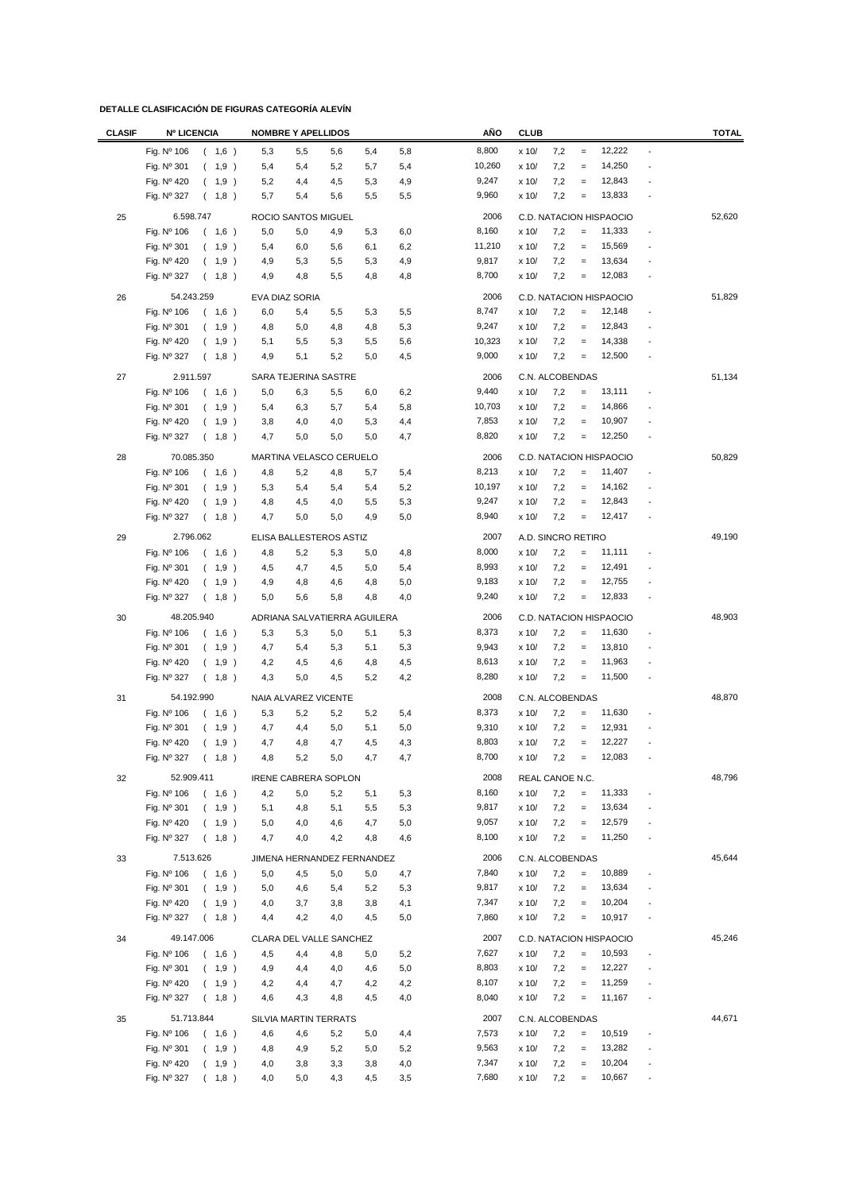| <b>CLASIF</b> | <b>Nº LICENCIA</b>                  | <b>NOMBRE Y APELLIDOS</b>    |            | AÑO           | <b>CLUB</b>         |                                   | <b>TOTAL</b>             |
|---------------|-------------------------------------|------------------------------|------------|---------------|---------------------|-----------------------------------|--------------------------|
|               | Fig. Nº 106<br>(1,6)                | 5,3<br>5,5<br>5,6            | 5,8<br>5,4 | 8,800         | x 10/<br>7,2        | 12,222<br>$\equiv$                | $\overline{\phantom{a}}$ |
|               | Fig. Nº 301<br>(1,9)                | 5,4<br>5,4<br>5,2            | 5,7<br>5,4 | 10,260        | 7,2<br>x 10/        | 14,250<br>$\qquad \qquad =$       |                          |
|               | Fig. Nº 420<br>1,9)<br>(            | 4,5<br>5,2<br>4,4            | 4,9<br>5,3 | 9,247         | 7,2<br>x 10/        | 12,843<br>$\qquad \qquad =$       |                          |
|               | Fig. Nº 327<br>(1,8)                | 5,7<br>5,6<br>5,4            | 5,5<br>5,5 | 9,960         | x 10/<br>7,2        | 13,833<br>$\qquad \qquad =$       |                          |
|               | 6.598.747                           |                              |            |               |                     |                                   |                          |
| 25            |                                     | ROCIO SANTOS MIGUEL          |            | 2006<br>8,160 |                     | C.D. NATACION HISPAOCIO<br>11,333 | 52,620<br>Ĭ.             |
|               | Fig. Nº 106<br>1,6)<br>$\left($     | 5,0<br>5,0<br>4,9            | 5,3<br>6,0 |               | x 10/<br>7,2        | $\equiv$<br>15,569                |                          |
|               | Fig. Nº 301<br>1,9)<br>$\left($     | 5,4<br>6,0<br>5,6            | 6,2<br>6,1 | 11,210        | x 10/<br>7,2<br>7,2 | $\equiv$<br>13,634                |                          |
|               | Fig. Nº 420<br>(1,9)                | 4,9<br>5,3<br>5,5            | 4,9<br>5,3 | 9,817         | x 10/               | $\qquad \qquad =$                 |                          |
|               | Fig. Nº 327<br>(1,8)                | 4,9<br>4,8<br>5,5            | 4,8<br>4,8 | 8,700         | 7,2<br>x 10/        | 12,083<br>$\!=$                   |                          |
| 26            | 54.243.259                          | EVA DIAZ SORIA               |            | 2006          |                     | C.D. NATACION HISPAOCIO           | 51,829                   |
|               | (1,6)<br>Fig. $N^{\circ}$ 106       | 6,0<br>5,4<br>5,5            | 5,3<br>5,5 | 8,747         | 7,2<br>x 10/        | 12,148<br>$=$                     | $\overline{\phantom{a}}$ |
|               | Fig. Nº 301<br>(1,9)                | 4,8<br>5,0<br>4,8            | 5,3<br>4,8 | 9,247         | 7,2<br>x 10/        | 12,843<br>$\equiv$                |                          |
|               | Fig. Nº 420<br>1,9)<br>(            | 5,1<br>5,5<br>5,3            | 5,5<br>5,6 | 10,323        | 7,2<br>x 10/        | 14,338<br>$\qquad \qquad =$       |                          |
|               | Fig. Nº 327<br>$\left($<br>1,8)     | 5,2<br>4,9<br>5,1            | 5,0<br>4,5 | 9,000         | 7,2<br>x 10/        | 12,500<br>$=$                     |                          |
| 27            | 2.911.597                           | SARA TEJERINA SASTRE         |            | 2006          | C.N. ALCOBENDAS     |                                   | 51,134                   |
|               | (1,6)<br>Fig. Nº 106                | 5,0<br>6,3<br>5,5            | 6,0<br>6,2 | 9,440         | 7,2<br>x 10/        | 13,111<br>$\equiv$                |                          |
|               | 1,9)<br>Fig. Nº 301<br>(            | 5,4<br>6,3<br>5,7            | 5,4<br>5,8 | 10,703        | 7,2<br>x 10/        | 14,866<br>$\qquad \qquad =$       |                          |
|               | Fig. Nº 420<br>(1,9)                | 3,8<br>4,0<br>4,0            | 5,3<br>4,4 | 7,853         | 7,2<br>x 10/        | 10,907<br>$\qquad \qquad =$       |                          |
|               | 1,8)<br>Fig. Nº 327<br>$\left($     | 4,7<br>5,0<br>5,0            | 5,0<br>4,7 | 8,820         | 7,2<br>x 10/        | 12,250<br>$\equiv$                |                          |
|               |                                     |                              |            |               |                     |                                   |                          |
| 28            | 70.085.350                          | MARTINA VELASCO CERUELO      |            | 2006          |                     | C.D. NATACION HISPAOCIO           | 50,829                   |
|               | Fig. Nº 106<br>(1,6)                | 4,8<br>5,2<br>4,8            | 5,7<br>5,4 | 8,213         | x 10/<br>7,2        | 11,407<br>$\qquad \qquad =$       |                          |
|               | Fig. Nº 301<br>1,9)<br><sup>-</sup> | 5,3<br>5,4<br>5,4            | 5,2<br>5,4 | 10,197        | x 10/<br>7,2        | 14,162<br>$=$                     |                          |
|               | Fig. Nº 420<br>(1,9)                | 4,5<br>4,8<br>4,0            | 5,5<br>5,3 | 9,247         | 7,2<br>x 10/        | 12,843<br>$\equiv$                |                          |
|               | Fig. Nº 327<br>(1,8)                | 5,0<br>4,7<br>5,0            | 4,9<br>5,0 | 8,940         | 7,2<br>x 10/        | 12,417<br>$\!=$                   |                          |
| 29            | 2.796.062                           | ELISA BALLESTEROS ASTIZ      |            | 2007          | A.D. SINCRO RETIRO  |                                   | 49,190                   |
|               | Fig. Nº 106<br>(1,6)                | 4,8<br>5,2<br>5,3            | 5,0<br>4,8 | 8,000         | 7,2<br>x 10/        | 11,111<br>$=$                     |                          |
|               | Fig. Nº 301<br>(1,9)                | 4,5<br>4,7<br>4,5            | 5,4<br>5,0 | 8,993         | 7,2<br>x 10/        | 12,491<br>$\qquad \qquad =$       |                          |
|               | Fig. Nº 420<br>(1,9)                | 4,9<br>4,8<br>4,6            | 4,8<br>5,0 | 9,183         | 7,2<br>x 10/        | 12,755<br>$\qquad \qquad =$       |                          |
|               | Fig. Nº 327<br>$\left($<br>1,8)     | 5,0<br>5,6<br>5,8            | 4,8<br>4,0 | 9,240         | 7,2<br>x 10/        | 12,833<br>$\!=$                   |                          |
| 30            | 48.205.940                          | ADRIANA SALVATIERRA AGUILERA |            | 2006          |                     | C.D. NATACION HISPAOCIO           | 48,903                   |
|               | Fig. Nº 106<br>1,6)<br>$\left($     | 5,3<br>5,3<br>5,0            | 5,1<br>5,3 | 8,373         | 7,2<br>x 10/        | 11,630<br>$\equiv$                |                          |
|               | Fig. Nº 301<br>1,9)<br>(            | 4,7<br>5,4<br>5,3            | 5,1<br>5,3 | 9,943         | 7,2<br>x 10/        | 13,810<br>$\equiv$                |                          |
|               | Fig. Nº 420<br>1,9)<br>$\left($     | 4,2<br>4,5<br>4,6            | 4,8<br>4,5 | 8,613         | 7,2<br>x 10/        | 11,963<br>$\equiv$                |                          |
|               | Fig. Nº 327<br>(1,8)                | 4,3<br>5,0<br>4,5            | 5,2<br>4,2 | 8,280         | 7,2<br>x 10/        | 11,500<br>$\equiv$                | $\overline{\phantom{a}}$ |
|               |                                     |                              |            |               |                     |                                   |                          |
| 31            | 54.192.990                          | NAIA ALVAREZ VICENTE         |            | 2008          | C.N. ALCOBENDAS     |                                   | 48,870                   |
|               | Fig. Nº 106<br>1,6)<br>(            | 5,3<br>5,2<br>5,2            | 5,2<br>5,4 | 8,373         | 7,2<br>x 10/        | 11,630<br>$\equiv$                |                          |
|               | Fig. Nº 301<br>(1,9)                | 4,7<br>5,0<br>4,4            | 5,1<br>5,0 | 9,310         | 7,2<br>x 10/        | 12,931<br>$\qquad \qquad =$       |                          |
|               | Fig. Nº 420<br>(1,9)                | 4,7<br>4,8<br>4,7            | 4,3<br>4,5 | 8,803         | 7,2<br>x 10/        | 12,227<br>$\qquad \qquad =$       |                          |
|               | Fig. Nº 327<br>(1,8)                | 4,8<br>5,2<br>5,0            | 4,7<br>4,7 | 8,700         | $\times$ 10/<br>7,2 | 12,083                            |                          |
| 32            | 52.909.411                          | <b>IRENE CABRERA SOPLON</b>  |            | 2008          | REAL CANOE N.C.     |                                   | 48,796                   |
|               | Fig. Nº 106<br>(1,6)                | 4,2<br>5,2<br>5,0            | 5,3<br>5,1 | 8,160         | 7,2<br>x 10/        | 11,333<br>$\!=$                   |                          |
|               | Fig. Nº 301<br>(1,9)                | 5,1<br>4,8<br>5,1            | 5,5<br>5,3 | 9,817         | x 10/<br>7,2        | 13,634<br>$\equiv$                | ÷,                       |
|               | Fig. Nº 420<br>(1,9)                | 5,0<br>4,0<br>4,6            | 4,7<br>5,0 | 9,057         | 7,2<br>x 10/        | 12,579<br>$\equiv$                | ÷,                       |
|               | Fig. Nº 327<br>(1,8)                | 4,7<br>4,2<br>4,0            | 4,8<br>4,6 | 8,100         | x 10/<br>7,2        | 11,250<br>$\equiv$                |                          |
| 33            | 7.513.626                           | JIMENA HERNANDEZ FERNANDEZ   |            | 2006          | C.N. ALCOBENDAS     |                                   | 45,644                   |
|               | Fig. Nº 106<br>(1,6)                | 5,0<br>4,5<br>5,0            | 5,0<br>4,7 | 7,840         | x 10/<br>7,2        | 10,889<br>$\qquad \qquad =$       | $\overline{\phantom{a}}$ |
|               | Fig. Nº 301<br>(1,9)                | 5,0<br>4,6<br>5,4            | 5,2<br>5,3 | 9,817         | x 10/<br>7,2        | 13,634<br>$\qquad \qquad =$       |                          |
|               | Fig. Nº 420<br>(1,9)                | 4,0<br>3,7<br>3,8            | 3,8<br>4,1 | 7,347         | 7,2<br>x 10/        | 10,204<br>$\equiv$                |                          |
|               | Fig. Nº 327<br>(1,8)                | 4,2<br>4,4<br>4,0            | 4,5<br>5,0 | 7,860         | x 10/<br>7,2        | 10,917<br>$\,=\,$                 |                          |
|               |                                     |                              |            |               |                     |                                   |                          |
| 34            | 49.147.006                          | CLARA DEL VALLE SANCHEZ      |            | 2007          |                     | C.D. NATACION HISPAOCIO           | 45,246                   |
|               | Fig. Nº 106<br>(1,6)                | 4,5<br>4,4<br>4,8            | 5,0<br>5,2 | 7,627         | x 10/<br>7,2        | 10,593<br>$\qquad \qquad =$       | Ĭ.                       |
|               | Fig. Nº 301<br>(1,9)                | 4,9<br>4,4<br>4,0            | 4,6<br>5,0 | 8,803         | x 10/<br>7,2        | 12,227<br>$\equiv$                |                          |
|               | Fig. Nº 420<br>(1,9)                | 4,2<br>4,7<br>4,4            | 4,2<br>4,2 | 8,107         | 7,2<br>x 10/        | 11,259<br>$\equiv$                | ÷,                       |
|               | Fig. Nº 327<br>(1,8)                | 4,6<br>4,3<br>4,8            | 4,5<br>4,0 | 8,040         | x 10/<br>7,2        | 11,167<br>$\equiv$                |                          |
| 35            | 51.713.844                          | SILVIA MARTIN TERRATS        |            | 2007          | C.N. ALCOBENDAS     |                                   | 44,671                   |
|               | Fig. Nº 106<br>(1,6)                | 4,6<br>4,6<br>5,2            | 5,0<br>4,4 | 7,573         | 7,2<br>x 10/        | 10,519<br>$=$                     | $\overline{\phantom{a}}$ |
|               | Fig. Nº 301<br>(1,9)                | 5,2<br>4,8<br>4,9            | 5,0<br>5,2 | 9,563         | 7,2<br>x 10/        | 13,282<br>$\equiv$                |                          |
|               | Fig. Nº 420<br>(1,9)                | 4,0<br>3,8<br>3,3            | 3,8<br>4,0 | 7,347         | 7,2<br>x 10/        | 10,204<br>$\equiv$                | $\overline{\phantom{a}}$ |
|               | Fig. Nº 327<br>(1,8)                | 4,3<br>4,0<br>5,0            | 4,5<br>3,5 | 7,680         | x 10/<br>7,2        | 10,667<br>$\equiv$                | $\overline{\phantom{a}}$ |